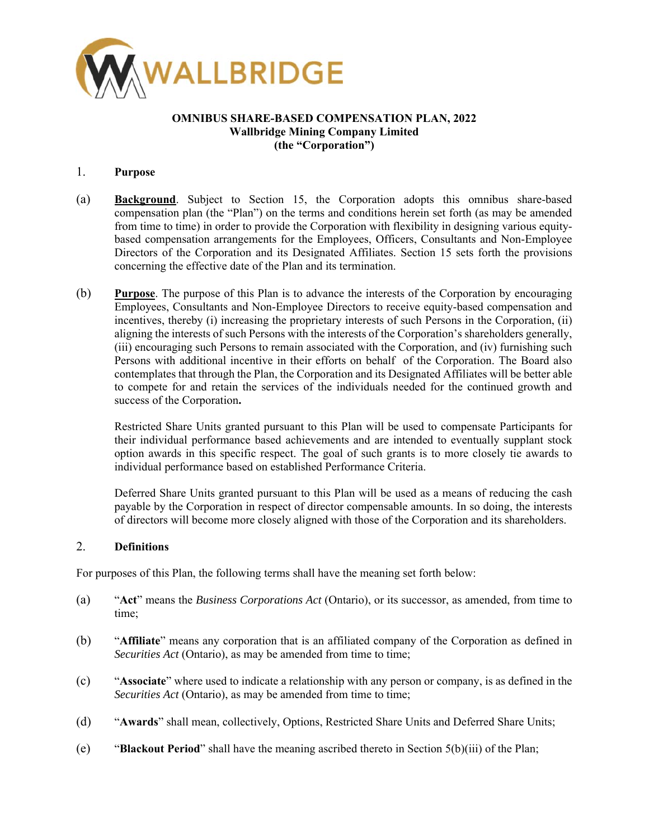

### **OMNIBUS SHARE-BASED COMPENSATION PLAN, 2022 Wallbridge Mining Company Limited (the "Corporation")**

### 1. **Purpose**

- (a) **Background**. Subject to Section 15, the Corporation adopts this omnibus share-based compensation plan (the "Plan") on the terms and conditions herein set forth (as may be amended from time to time) in order to provide the Corporation with flexibility in designing various equitybased compensation arrangements for the Employees, Officers, Consultants and Non-Employee Directors of the Corporation and its Designated Affiliates. Section 15 sets forth the provisions concerning the effective date of the Plan and its termination.
- (b) **Purpose**. The purpose of this Plan is to advance the interests of the Corporation by encouraging Employees, Consultants and Non-Employee Directors to receive equity-based compensation and incentives, thereby (i) increasing the proprietary interests of such Persons in the Corporation, (ii) aligning the interests of such Persons with the interests of the Corporation's shareholders generally, (iii) encouraging such Persons to remain associated with the Corporation, and (iv) furnishing such Persons with additional incentive in their efforts on behalf of the Corporation. The Board also contemplates that through the Plan, the Corporation and its Designated Affiliates will be better able to compete for and retain the services of the individuals needed for the continued growth and success of the Corporation**.**

Restricted Share Units granted pursuant to this Plan will be used to compensate Participants for their individual performance based achievements and are intended to eventually supplant stock option awards in this specific respect. The goal of such grants is to more closely tie awards to individual performance based on established Performance Criteria.

Deferred Share Units granted pursuant to this Plan will be used as a means of reducing the cash payable by the Corporation in respect of director compensable amounts. In so doing, the interests of directors will become more closely aligned with those of the Corporation and its shareholders.

### 2. **Definitions**

For purposes of this Plan, the following terms shall have the meaning set forth below:

- (a) "**Act**" means the *Business Corporations Act* (Ontario), or its successor, as amended, from time to time;
- (b) "**Affiliate**" means any corporation that is an affiliated company of the Corporation as defined in *Securities Act* (Ontario), as may be amended from time to time;
- (c) "**Associate**" where used to indicate a relationship with any person or company, is as defined in the *Securities Act* (Ontario), as may be amended from time to time;
- (d) "**Awards**" shall mean, collectively, Options, Restricted Share Units and Deferred Share Units;
- (e) "**Blackout Period**" shall have the meaning ascribed thereto in Section 5(b)(iii) of the Plan;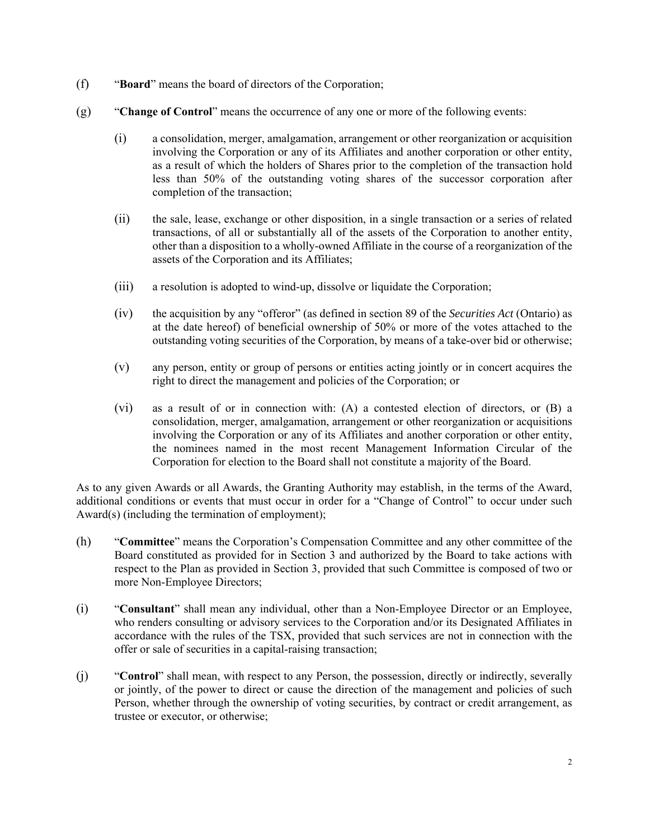- (f) "**Board**" means the board of directors of the Corporation;
- (g) "**Change of Control**" means the occurrence of any one or more of the following events:
	- (i) a consolidation, merger, amalgamation, arrangement or other reorganization or acquisition involving the Corporation or any of its Affiliates and another corporation or other entity, as a result of which the holders of Shares prior to the completion of the transaction hold less than 50% of the outstanding voting shares of the successor corporation after completion of the transaction;
	- (ii) the sale, lease, exchange or other disposition, in a single transaction or a series of related transactions, of all or substantially all of the assets of the Corporation to another entity, other than a disposition to a wholly-owned Affiliate in the course of a reorganization of the assets of the Corporation and its Affiliates;
	- (iii) a resolution is adopted to wind-up, dissolve or liquidate the Corporation;
	- (iv) the acquisition by any "offeror" (as defined in section 89 of the *Securities Act* (Ontario) as at the date hereof) of beneficial ownership of 50% or more of the votes attached to the outstanding voting securities of the Corporation, by means of a take-over bid or otherwise;
	- (v) any person, entity or group of persons or entities acting jointly or in concert acquires the right to direct the management and policies of the Corporation; or
	- (vi) as a result of or in connection with: (A) a contested election of directors, or (B) a consolidation, merger, amalgamation, arrangement or other reorganization or acquisitions involving the Corporation or any of its Affiliates and another corporation or other entity, the nominees named in the most recent Management Information Circular of the Corporation for election to the Board shall not constitute a majority of the Board.

As to any given Awards or all Awards, the Granting Authority may establish, in the terms of the Award, additional conditions or events that must occur in order for a "Change of Control" to occur under such Award(s) (including the termination of employment);

- (h) "**Committee**" means the Corporation's Compensation Committee and any other committee of the Board constituted as provided for in Section 3 and authorized by the Board to take actions with respect to the Plan as provided in Section 3, provided that such Committee is composed of two or more Non-Employee Directors;
- (i) "**Consultant**" shall mean any individual, other than a Non-Employee Director or an Employee, who renders consulting or advisory services to the Corporation and/or its Designated Affiliates in accordance with the rules of the TSX, provided that such services are not in connection with the offer or sale of securities in a capital-raising transaction;
- (j) "**Control**" shall mean, with respect to any Person, the possession, directly or indirectly, severally or jointly, of the power to direct or cause the direction of the management and policies of such Person, whether through the ownership of voting securities, by contract or credit arrangement, as trustee or executor, or otherwise;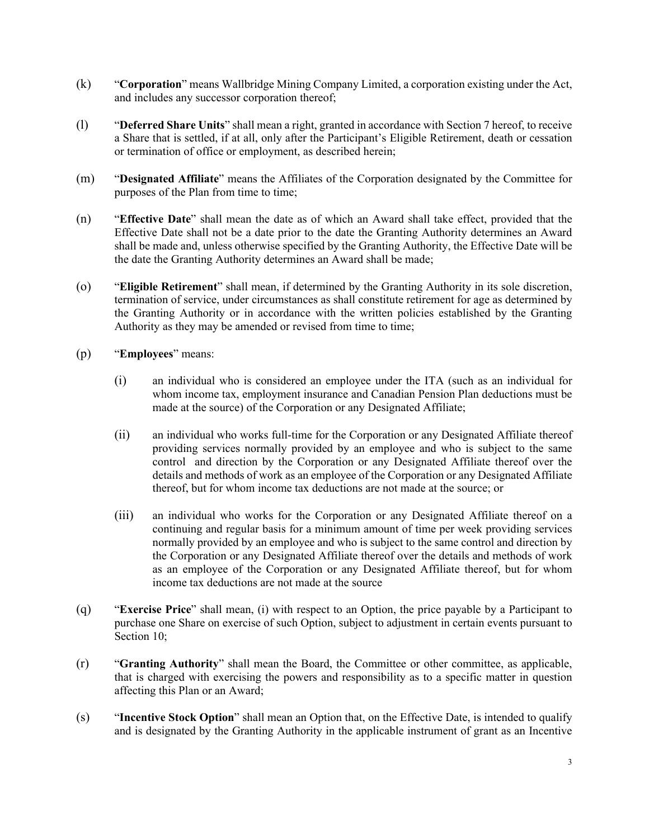- (k) "**Corporation**" means Wallbridge Mining Company Limited, a corporation existing under the Act, and includes any successor corporation thereof;
- (l) "**Deferred Share Units**" shall mean a right, granted in accordance with Section 7 hereof, to receive a Share that is settled, if at all, only after the Participant's Eligible Retirement, death or cessation or termination of office or employment, as described herein;
- (m) "**Designated Affiliate**" means the Affiliates of the Corporation designated by the Committee for purposes of the Plan from time to time;
- (n) "**Effective Date**" shall mean the date as of which an Award shall take effect, provided that the Effective Date shall not be a date prior to the date the Granting Authority determines an Award shall be made and, unless otherwise specified by the Granting Authority, the Effective Date will be the date the Granting Authority determines an Award shall be made;
- (o) "**Eligible Retirement**" shall mean, if determined by the Granting Authority in its sole discretion, termination of service, under circumstances as shall constitute retirement for age as determined by the Granting Authority or in accordance with the written policies established by the Granting Authority as they may be amended or revised from time to time;
- (p) "**Employees**" means:
	- (i) an individual who is considered an employee under the ITA (such as an individual for whom income tax, employment insurance and Canadian Pension Plan deductions must be made at the source) of the Corporation or any Designated Affiliate;
	- (ii) an individual who works full-time for the Corporation or any Designated Affiliate thereof providing services normally provided by an employee and who is subject to the same control and direction by the Corporation or any Designated Affiliate thereof over the details and methods of work as an employee of the Corporation or any Designated Affiliate thereof, but for whom income tax deductions are not made at the source; or
	- (iii) an individual who works for the Corporation or any Designated Affiliate thereof on a continuing and regular basis for a minimum amount of time per week providing services normally provided by an employee and who is subject to the same control and direction by the Corporation or any Designated Affiliate thereof over the details and methods of work as an employee of the Corporation or any Designated Affiliate thereof, but for whom income tax deductions are not made at the source
- (q) "**Exercise Price**" shall mean, (i) with respect to an Option, the price payable by a Participant to purchase one Share on exercise of such Option, subject to adjustment in certain events pursuant to Section 10;
- (r) "**Granting Authority**" shall mean the Board, the Committee or other committee, as applicable, that is charged with exercising the powers and responsibility as to a specific matter in question affecting this Plan or an Award;
- (s) "**Incentive Stock Option**" shall mean an Option that, on the Effective Date, is intended to qualify and is designated by the Granting Authority in the applicable instrument of grant as an Incentive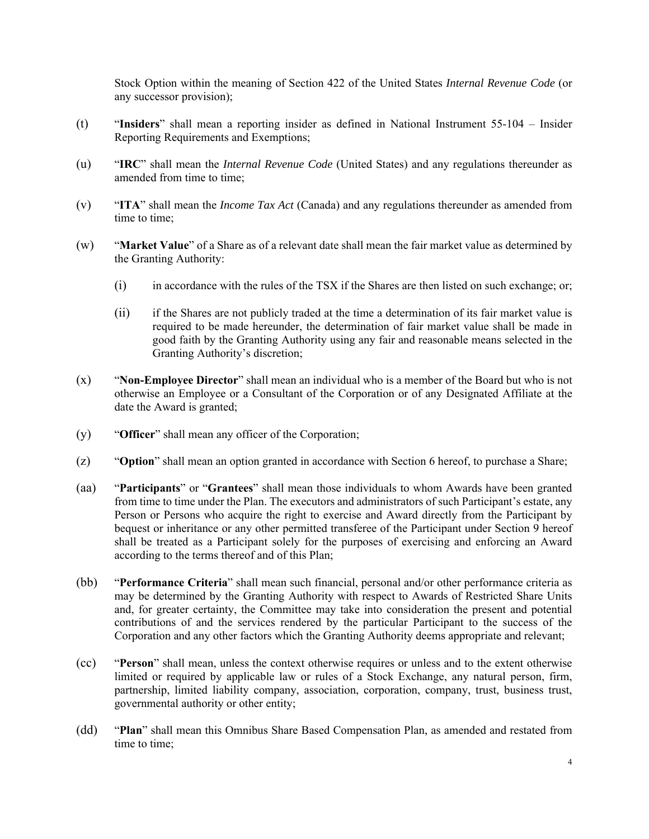Stock Option within the meaning of Section 422 of the United States *Internal Revenue Code* (or any successor provision);

- (t) "**Insiders**" shall mean a reporting insider as defined in National Instrument 55-104 Insider Reporting Requirements and Exemptions;
- (u) "**IRC**" shall mean the *Internal Revenue Code* (United States) and any regulations thereunder as amended from time to time;
- (v) "**ITA**" shall mean the *Income Tax Act* (Canada) and any regulations thereunder as amended from time to time;
- (w) "**Market Value**" of a Share as of a relevant date shall mean the fair market value as determined by the Granting Authority:
	- (i) in accordance with the rules of the TSX if the Shares are then listed on such exchange; or;
	- (ii) if the Shares are not publicly traded at the time a determination of its fair market value is required to be made hereunder, the determination of fair market value shall be made in good faith by the Granting Authority using any fair and reasonable means selected in the Granting Authority's discretion;
- (x) "**Non-Employee Director**" shall mean an individual who is a member of the Board but who is not otherwise an Employee or a Consultant of the Corporation or of any Designated Affiliate at the date the Award is granted;
- (y) "**Officer**" shall mean any officer of the Corporation;
- (z) "**Option**" shall mean an option granted in accordance with Section 6 hereof, to purchase a Share;
- (aa) "**Participants**" or "**Grantees**" shall mean those individuals to whom Awards have been granted from time to time under the Plan. The executors and administrators of such Participant's estate, any Person or Persons who acquire the right to exercise and Award directly from the Participant by bequest or inheritance or any other permitted transferee of the Participant under Section 9 hereof shall be treated as a Participant solely for the purposes of exercising and enforcing an Award according to the terms thereof and of this Plan;
- (bb) "**Performance Criteria**" shall mean such financial, personal and/or other performance criteria as may be determined by the Granting Authority with respect to Awards of Restricted Share Units and, for greater certainty, the Committee may take into consideration the present and potential contributions of and the services rendered by the particular Participant to the success of the Corporation and any other factors which the Granting Authority deems appropriate and relevant;
- (cc) "**Person**" shall mean, unless the context otherwise requires or unless and to the extent otherwise limited or required by applicable law or rules of a Stock Exchange, any natural person, firm, partnership, limited liability company, association, corporation, company, trust, business trust, governmental authority or other entity;
- (dd) "**Plan**" shall mean this Omnibus Share Based Compensation Plan, as amended and restated from time to time;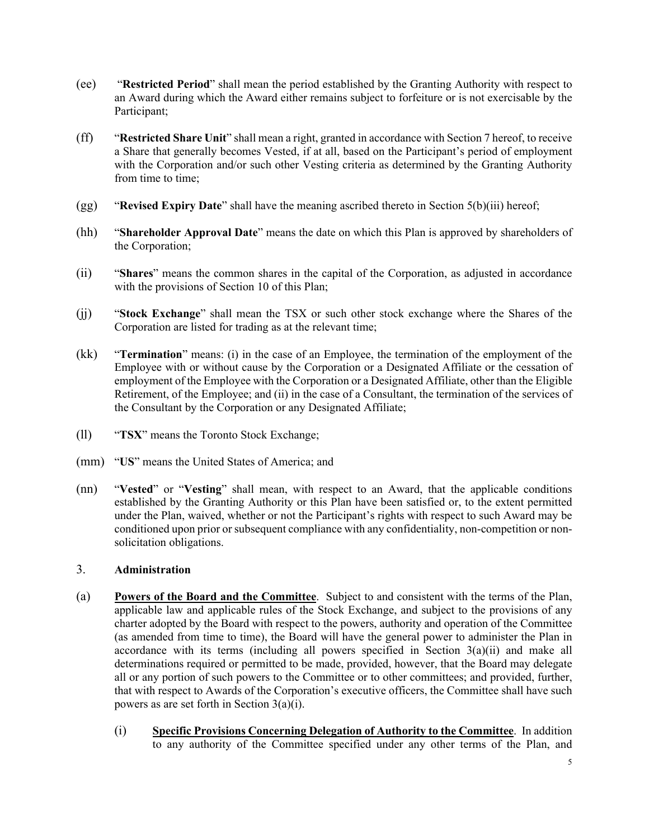- (ee) "**Restricted Period**" shall mean the period established by the Granting Authority with respect to an Award during which the Award either remains subject to forfeiture or is not exercisable by the Participant;
- (ff) "**Restricted Share Unit**" shall mean a right, granted in accordance with Section 7 hereof, to receive a Share that generally becomes Vested, if at all, based on the Participant's period of employment with the Corporation and/or such other Vesting criteria as determined by the Granting Authority from time to time;
- (gg) "**Revised Expiry Date**" shall have the meaning ascribed thereto in Section 5(b)(iii) hereof;
- (hh) "**Shareholder Approval Date**" means the date on which this Plan is approved by shareholders of the Corporation;
- (ii) "**Shares**" means the common shares in the capital of the Corporation, as adjusted in accordance with the provisions of Section 10 of this Plan;
- (jj) "**Stock Exchange**" shall mean the TSX or such other stock exchange where the Shares of the Corporation are listed for trading as at the relevant time;
- (kk) "**Termination**" means: (i) in the case of an Employee, the termination of the employment of the Employee with or without cause by the Corporation or a Designated Affiliate or the cessation of employment of the Employee with the Corporation or a Designated Affiliate, other than the Eligible Retirement, of the Employee; and (ii) in the case of a Consultant, the termination of the services of the Consultant by the Corporation or any Designated Affiliate;
- (ll) "**TSX**" means the Toronto Stock Exchange;
- (mm) "**US**" means the United States of America; and
- (nn) "**Vested**" or "**Vesting**" shall mean, with respect to an Award, that the applicable conditions established by the Granting Authority or this Plan have been satisfied or, to the extent permitted under the Plan, waived, whether or not the Participant's rights with respect to such Award may be conditioned upon prior or subsequent compliance with any confidentiality, non-competition or nonsolicitation obligations.

### 3. **Administration**

- (a) **Powers of the Board and the Committee**. Subject to and consistent with the terms of the Plan, applicable law and applicable rules of the Stock Exchange, and subject to the provisions of any charter adopted by the Board with respect to the powers, authority and operation of the Committee (as amended from time to time), the Board will have the general power to administer the Plan in accordance with its terms (including all powers specified in Section  $3(a)(ii)$  and make all determinations required or permitted to be made, provided, however, that the Board may delegate all or any portion of such powers to the Committee or to other committees; and provided, further, that with respect to Awards of the Corporation's executive officers, the Committee shall have such powers as are set forth in Section 3(a)(i).
	- (i) **Specific Provisions Concerning Delegation of Authority to the Committee**. In addition to any authority of the Committee specified under any other terms of the Plan, and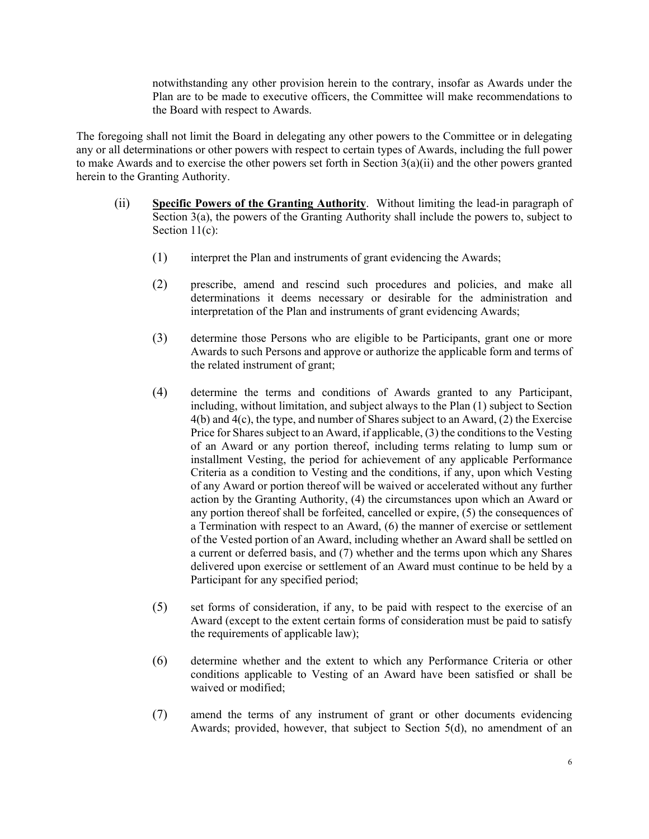notwithstanding any other provision herein to the contrary, insofar as Awards under the Plan are to be made to executive officers, the Committee will make recommendations to the Board with respect to Awards.

The foregoing shall not limit the Board in delegating any other powers to the Committee or in delegating any or all determinations or other powers with respect to certain types of Awards, including the full power to make Awards and to exercise the other powers set forth in Section 3(a)(ii) and the other powers granted herein to the Granting Authority.

- (ii) **Specific Powers of the Granting Authority**. Without limiting the lead-in paragraph of Section 3(a), the powers of the Granting Authority shall include the powers to, subject to Section 11(c):
	- (1) interpret the Plan and instruments of grant evidencing the Awards;
	- (2) prescribe, amend and rescind such procedures and policies, and make all determinations it deems necessary or desirable for the administration and interpretation of the Plan and instruments of grant evidencing Awards;
	- (3) determine those Persons who are eligible to be Participants, grant one or more Awards to such Persons and approve or authorize the applicable form and terms of the related instrument of grant;
	- (4) determine the terms and conditions of Awards granted to any Participant, including, without limitation, and subject always to the Plan (1) subject to Section 4(b) and 4(c), the type, and number of Shares subject to an Award, (2) the Exercise Price for Shares subject to an Award, if applicable, (3) the conditions to the Vesting of an Award or any portion thereof, including terms relating to lump sum or installment Vesting, the period for achievement of any applicable Performance Criteria as a condition to Vesting and the conditions, if any, upon which Vesting of any Award or portion thereof will be waived or accelerated without any further action by the Granting Authority, (4) the circumstances upon which an Award or any portion thereof shall be forfeited, cancelled or expire, (5) the consequences of a Termination with respect to an Award, (6) the manner of exercise or settlement of the Vested portion of an Award, including whether an Award shall be settled on a current or deferred basis, and (7) whether and the terms upon which any Shares delivered upon exercise or settlement of an Award must continue to be held by a Participant for any specified period;
	- (5) set forms of consideration, if any, to be paid with respect to the exercise of an Award (except to the extent certain forms of consideration must be paid to satisfy the requirements of applicable law);
	- (6) determine whether and the extent to which any Performance Criteria or other conditions applicable to Vesting of an Award have been satisfied or shall be waived or modified;
	- (7) amend the terms of any instrument of grant or other documents evidencing Awards; provided, however, that subject to Section 5(d), no amendment of an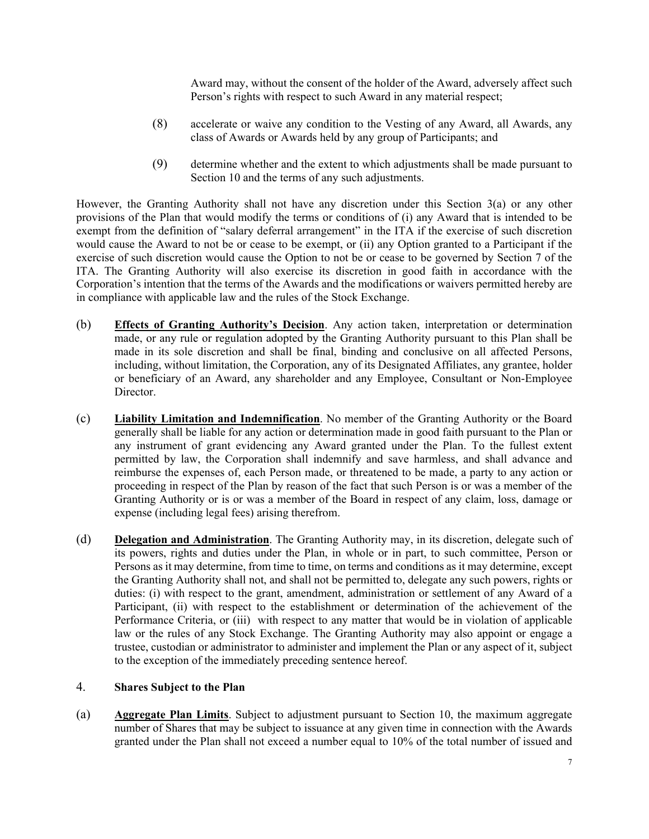Award may, without the consent of the holder of the Award, adversely affect such Person's rights with respect to such Award in any material respect;

- (8) accelerate or waive any condition to the Vesting of any Award, all Awards, any class of Awards or Awards held by any group of Participants; and
- (9) determine whether and the extent to which adjustments shall be made pursuant to Section 10 and the terms of any such adjustments.

However, the Granting Authority shall not have any discretion under this Section 3(a) or any other provisions of the Plan that would modify the terms or conditions of (i) any Award that is intended to be exempt from the definition of "salary deferral arrangement" in the ITA if the exercise of such discretion would cause the Award to not be or cease to be exempt, or (ii) any Option granted to a Participant if the exercise of such discretion would cause the Option to not be or cease to be governed by Section 7 of the ITA. The Granting Authority will also exercise its discretion in good faith in accordance with the Corporation's intention that the terms of the Awards and the modifications or waivers permitted hereby are in compliance with applicable law and the rules of the Stock Exchange.

- (b) **Effects of Granting Authority's Decision**. Any action taken, interpretation or determination made, or any rule or regulation adopted by the Granting Authority pursuant to this Plan shall be made in its sole discretion and shall be final, binding and conclusive on all affected Persons, including, without limitation, the Corporation, any of its Designated Affiliates, any grantee, holder or beneficiary of an Award, any shareholder and any Employee, Consultant or Non-Employee Director.
- (c) **Liability Limitation and Indemnification**. No member of the Granting Authority or the Board generally shall be liable for any action or determination made in good faith pursuant to the Plan or any instrument of grant evidencing any Award granted under the Plan. To the fullest extent permitted by law, the Corporation shall indemnify and save harmless, and shall advance and reimburse the expenses of, each Person made, or threatened to be made, a party to any action or proceeding in respect of the Plan by reason of the fact that such Person is or was a member of the Granting Authority or is or was a member of the Board in respect of any claim, loss, damage or expense (including legal fees) arising therefrom.
- (d) **Delegation and Administration**. The Granting Authority may, in its discretion, delegate such of its powers, rights and duties under the Plan, in whole or in part, to such committee, Person or Persons as it may determine, from time to time, on terms and conditions as it may determine, except the Granting Authority shall not, and shall not be permitted to, delegate any such powers, rights or duties: (i) with respect to the grant, amendment, administration or settlement of any Award of a Participant, (ii) with respect to the establishment or determination of the achievement of the Performance Criteria, or (iii) with respect to any matter that would be in violation of applicable law or the rules of any Stock Exchange. The Granting Authority may also appoint or engage a trustee, custodian or administrator to administer and implement the Plan or any aspect of it, subject to the exception of the immediately preceding sentence hereof.

## 4. **Shares Subject to the Plan**

(a) **Aggregate Plan Limits**. Subject to adjustment pursuant to Section 10, the maximum aggregate number of Shares that may be subject to issuance at any given time in connection with the Awards granted under the Plan shall not exceed a number equal to 10% of the total number of issued and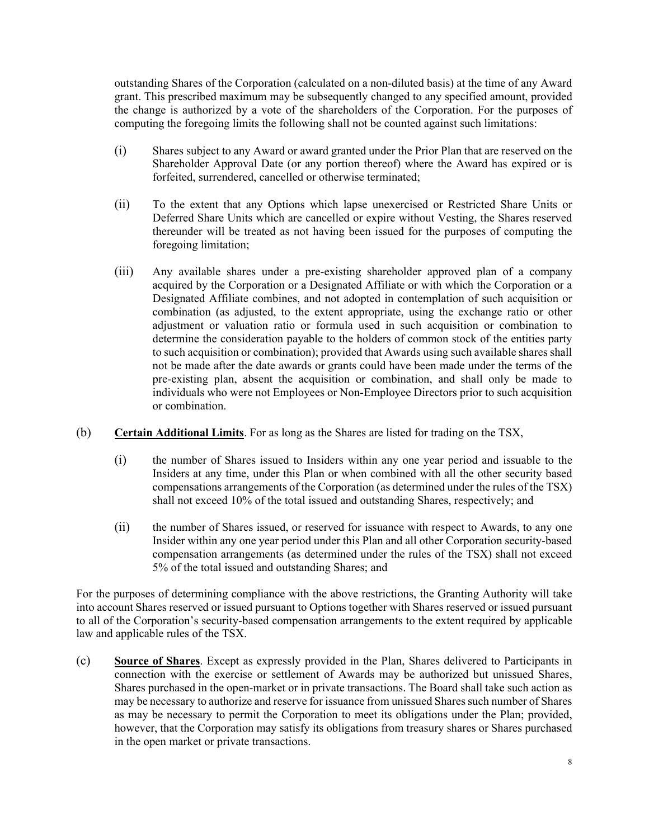outstanding Shares of the Corporation (calculated on a non-diluted basis) at the time of any Award grant. This prescribed maximum may be subsequently changed to any specified amount, provided the change is authorized by a vote of the shareholders of the Corporation. For the purposes of computing the foregoing limits the following shall not be counted against such limitations:

- (i) Shares subject to any Award or award granted under the Prior Plan that are reserved on the Shareholder Approval Date (or any portion thereof) where the Award has expired or is forfeited, surrendered, cancelled or otherwise terminated;
- (ii) To the extent that any Options which lapse unexercised or Restricted Share Units or Deferred Share Units which are cancelled or expire without Vesting, the Shares reserved thereunder will be treated as not having been issued for the purposes of computing the foregoing limitation;
- (iii) Any available shares under a pre-existing shareholder approved plan of a company acquired by the Corporation or a Designated Affiliate or with which the Corporation or a Designated Affiliate combines, and not adopted in contemplation of such acquisition or combination (as adjusted, to the extent appropriate, using the exchange ratio or other adjustment or valuation ratio or formula used in such acquisition or combination to determine the consideration payable to the holders of common stock of the entities party to such acquisition or combination); provided that Awards using such available shares shall not be made after the date awards or grants could have been made under the terms of the pre-existing plan, absent the acquisition or combination, and shall only be made to individuals who were not Employees or Non-Employee Directors prior to such acquisition or combination.
- (b) **Certain Additional Limits**. For as long as the Shares are listed for trading on the TSX,
	- (i) the number of Shares issued to Insiders within any one year period and issuable to the Insiders at any time, under this Plan or when combined with all the other security based compensations arrangements of the Corporation (as determined under the rules of the TSX) shall not exceed 10% of the total issued and outstanding Shares, respectively; and
	- (ii) the number of Shares issued, or reserved for issuance with respect to Awards, to any one Insider within any one year period under this Plan and all other Corporation security-based compensation arrangements (as determined under the rules of the TSX) shall not exceed 5% of the total issued and outstanding Shares; and

For the purposes of determining compliance with the above restrictions, the Granting Authority will take into account Shares reserved or issued pursuant to Options together with Shares reserved or issued pursuant to all of the Corporation's security-based compensation arrangements to the extent required by applicable law and applicable rules of the TSX.

(c) **Source of Shares**. Except as expressly provided in the Plan, Shares delivered to Participants in connection with the exercise or settlement of Awards may be authorized but unissued Shares, Shares purchased in the open-market or in private transactions. The Board shall take such action as may be necessary to authorize and reserve for issuance from unissued Shares such number of Shares as may be necessary to permit the Corporation to meet its obligations under the Plan; provided, however, that the Corporation may satisfy its obligations from treasury shares or Shares purchased in the open market or private transactions.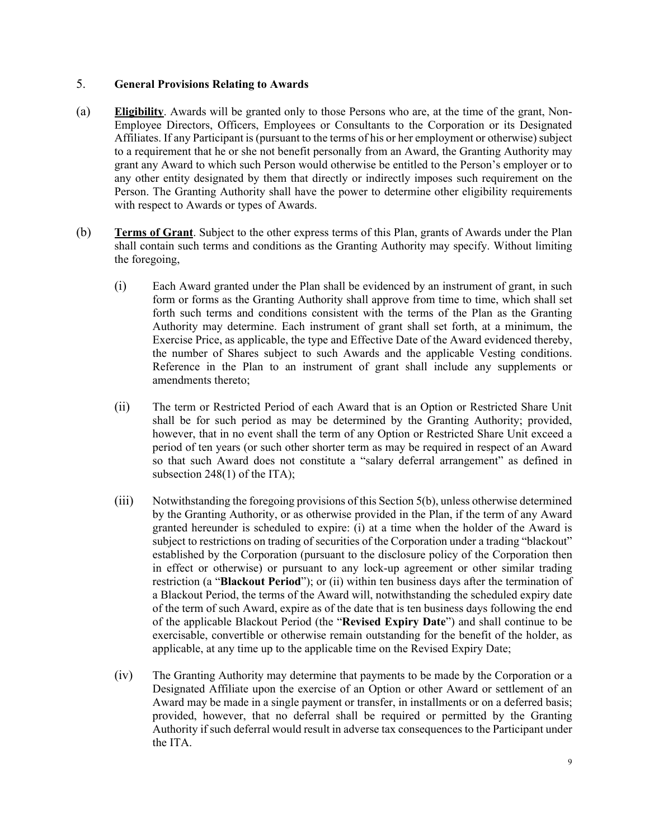### 5. **General Provisions Relating to Awards**

- (a) **Eligibility**. Awards will be granted only to those Persons who are, at the time of the grant, Non-Employee Directors, Officers, Employees or Consultants to the Corporation or its Designated Affiliates. If any Participant is (pursuant to the terms of his or her employment or otherwise) subject to a requirement that he or she not benefit personally from an Award, the Granting Authority may grant any Award to which such Person would otherwise be entitled to the Person's employer or to any other entity designated by them that directly or indirectly imposes such requirement on the Person. The Granting Authority shall have the power to determine other eligibility requirements with respect to Awards or types of Awards.
- (b) **Terms of Grant**. Subject to the other express terms of this Plan, grants of Awards under the Plan shall contain such terms and conditions as the Granting Authority may specify. Without limiting the foregoing,
	- (i) Each Award granted under the Plan shall be evidenced by an instrument of grant, in such form or forms as the Granting Authority shall approve from time to time, which shall set forth such terms and conditions consistent with the terms of the Plan as the Granting Authority may determine. Each instrument of grant shall set forth, at a minimum, the Exercise Price, as applicable, the type and Effective Date of the Award evidenced thereby, the number of Shares subject to such Awards and the applicable Vesting conditions. Reference in the Plan to an instrument of grant shall include any supplements or amendments thereto;
	- (ii) The term or Restricted Period of each Award that is an Option or Restricted Share Unit shall be for such period as may be determined by the Granting Authority; provided, however, that in no event shall the term of any Option or Restricted Share Unit exceed a period of ten years (or such other shorter term as may be required in respect of an Award so that such Award does not constitute a "salary deferral arrangement" as defined in subsection 248(1) of the ITA);
	- (iii) Notwithstanding the foregoing provisions of this Section 5(b), unless otherwise determined by the Granting Authority, or as otherwise provided in the Plan, if the term of any Award granted hereunder is scheduled to expire: (i) at a time when the holder of the Award is subject to restrictions on trading of securities of the Corporation under a trading "blackout" established by the Corporation (pursuant to the disclosure policy of the Corporation then in effect or otherwise) or pursuant to any lock-up agreement or other similar trading restriction (a "**Blackout Period**"); or (ii) within ten business days after the termination of a Blackout Period, the terms of the Award will, notwithstanding the scheduled expiry date of the term of such Award, expire as of the date that is ten business days following the end of the applicable Blackout Period (the "**Revised Expiry Date**") and shall continue to be exercisable, convertible or otherwise remain outstanding for the benefit of the holder, as applicable, at any time up to the applicable time on the Revised Expiry Date;
	- (iv) The Granting Authority may determine that payments to be made by the Corporation or a Designated Affiliate upon the exercise of an Option or other Award or settlement of an Award may be made in a single payment or transfer, in installments or on a deferred basis; provided, however, that no deferral shall be required or permitted by the Granting Authority if such deferral would result in adverse tax consequences to the Participant under the ITA.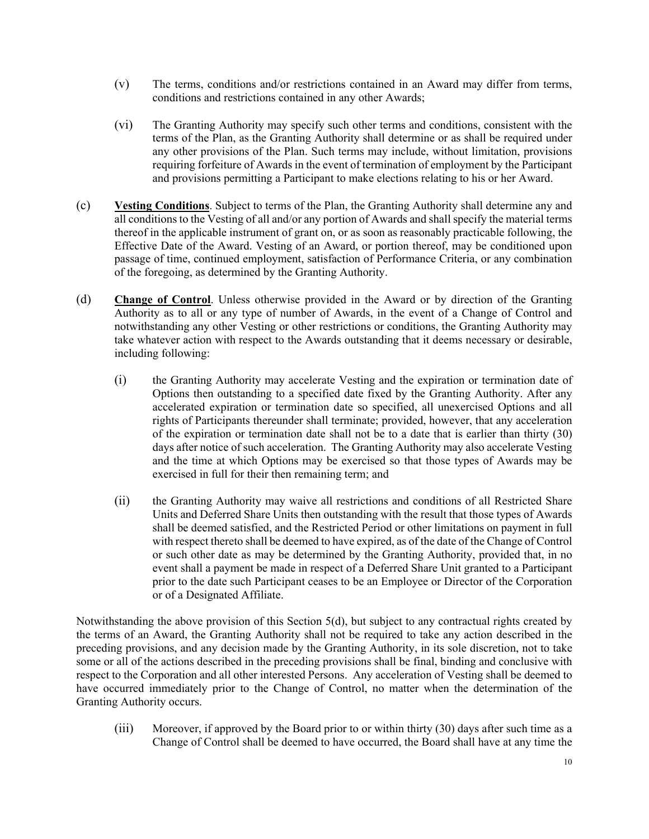- (v) The terms, conditions and/or restrictions contained in an Award may differ from terms, conditions and restrictions contained in any other Awards;
- (vi) The Granting Authority may specify such other terms and conditions, consistent with the terms of the Plan, as the Granting Authority shall determine or as shall be required under any other provisions of the Plan. Such terms may include, without limitation, provisions requiring forfeiture of Awards in the event of termination of employment by the Participant and provisions permitting a Participant to make elections relating to his or her Award.
- (c) **Vesting Conditions**. Subject to terms of the Plan, the Granting Authority shall determine any and all conditions to the Vesting of all and/or any portion of Awards and shall specify the material terms thereof in the applicable instrument of grant on, or as soon as reasonably practicable following, the Effective Date of the Award. Vesting of an Award, or portion thereof, may be conditioned upon passage of time, continued employment, satisfaction of Performance Criteria, or any combination of the foregoing, as determined by the Granting Authority.
- (d) **Change of Control**. Unless otherwise provided in the Award or by direction of the Granting Authority as to all or any type of number of Awards, in the event of a Change of Control and notwithstanding any other Vesting or other restrictions or conditions, the Granting Authority may take whatever action with respect to the Awards outstanding that it deems necessary or desirable, including following:
	- (i) the Granting Authority may accelerate Vesting and the expiration or termination date of Options then outstanding to a specified date fixed by the Granting Authority. After any accelerated expiration or termination date so specified, all unexercised Options and all rights of Participants thereunder shall terminate; provided, however, that any acceleration of the expiration or termination date shall not be to a date that is earlier than thirty (30) days after notice of such acceleration. The Granting Authority may also accelerate Vesting and the time at which Options may be exercised so that those types of Awards may be exercised in full for their then remaining term; and
	- (ii) the Granting Authority may waive all restrictions and conditions of all Restricted Share Units and Deferred Share Units then outstanding with the result that those types of Awards shall be deemed satisfied, and the Restricted Period or other limitations on payment in full with respect thereto shall be deemed to have expired, as of the date of the Change of Control or such other date as may be determined by the Granting Authority, provided that, in no event shall a payment be made in respect of a Deferred Share Unit granted to a Participant prior to the date such Participant ceases to be an Employee or Director of the Corporation or of a Designated Affiliate.

Notwithstanding the above provision of this Section 5(d), but subject to any contractual rights created by the terms of an Award, the Granting Authority shall not be required to take any action described in the preceding provisions, and any decision made by the Granting Authority, in its sole discretion, not to take some or all of the actions described in the preceding provisions shall be final, binding and conclusive with respect to the Corporation and all other interested Persons. Any acceleration of Vesting shall be deemed to have occurred immediately prior to the Change of Control, no matter when the determination of the Granting Authority occurs.

(iii) Moreover, if approved by the Board prior to or within thirty (30) days after such time as a Change of Control shall be deemed to have occurred, the Board shall have at any time the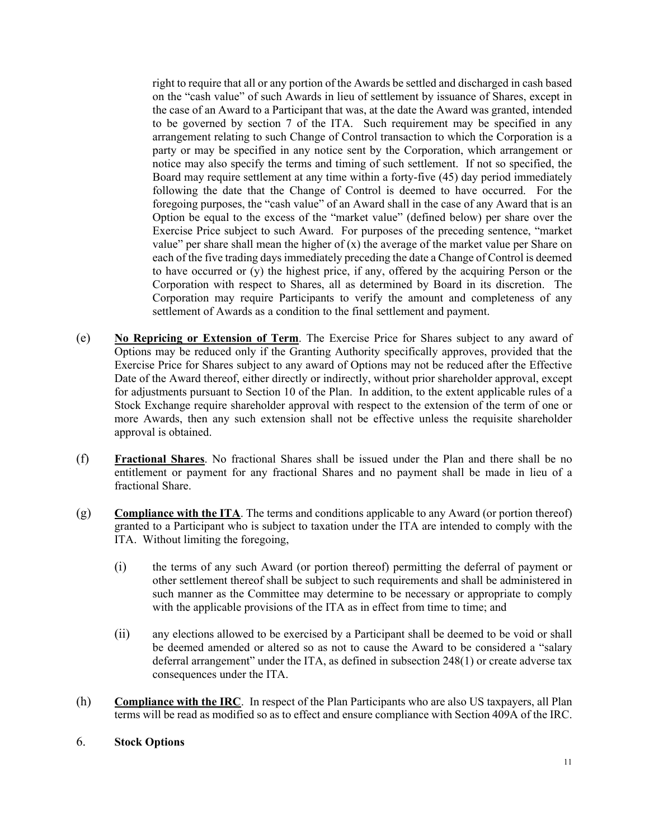right to require that all or any portion of the Awards be settled and discharged in cash based on the "cash value" of such Awards in lieu of settlement by issuance of Shares, except in the case of an Award to a Participant that was, at the date the Award was granted, intended to be governed by section 7 of the ITA. Such requirement may be specified in any arrangement relating to such Change of Control transaction to which the Corporation is a party or may be specified in any notice sent by the Corporation, which arrangement or notice may also specify the terms and timing of such settlement. If not so specified, the Board may require settlement at any time within a forty-five (45) day period immediately following the date that the Change of Control is deemed to have occurred. For the foregoing purposes, the "cash value" of an Award shall in the case of any Award that is an Option be equal to the excess of the "market value" (defined below) per share over the Exercise Price subject to such Award. For purposes of the preceding sentence, "market value" per share shall mean the higher of  $(x)$  the average of the market value per Share on each of the five trading days immediately preceding the date a Change of Control is deemed to have occurred or (y) the highest price, if any, offered by the acquiring Person or the Corporation with respect to Shares, all as determined by Board in its discretion. The Corporation may require Participants to verify the amount and completeness of any settlement of Awards as a condition to the final settlement and payment.

- (e) **No Repricing or Extension of Term**. The Exercise Price for Shares subject to any award of Options may be reduced only if the Granting Authority specifically approves, provided that the Exercise Price for Shares subject to any award of Options may not be reduced after the Effective Date of the Award thereof, either directly or indirectly, without prior shareholder approval, except for adjustments pursuant to Section 10 of the Plan. In addition, to the extent applicable rules of a Stock Exchange require shareholder approval with respect to the extension of the term of one or more Awards, then any such extension shall not be effective unless the requisite shareholder approval is obtained.
- (f) **Fractional Shares**. No fractional Shares shall be issued under the Plan and there shall be no entitlement or payment for any fractional Shares and no payment shall be made in lieu of a fractional Share.
- (g) **Compliance with the ITA**. The terms and conditions applicable to any Award (or portion thereof) granted to a Participant who is subject to taxation under the ITA are intended to comply with the ITA. Without limiting the foregoing,
	- (i) the terms of any such Award (or portion thereof) permitting the deferral of payment or other settlement thereof shall be subject to such requirements and shall be administered in such manner as the Committee may determine to be necessary or appropriate to comply with the applicable provisions of the ITA as in effect from time to time; and
	- (ii) any elections allowed to be exercised by a Participant shall be deemed to be void or shall be deemed amended or altered so as not to cause the Award to be considered a "salary deferral arrangement" under the ITA, as defined in subsection 248(1) or create adverse tax consequences under the ITA.
- (h) **Compliance with the IRC**. In respect of the Plan Participants who are also US taxpayers, all Plan terms will be read as modified so as to effect and ensure compliance with Section 409A of the IRC.

### 6. **Stock Options**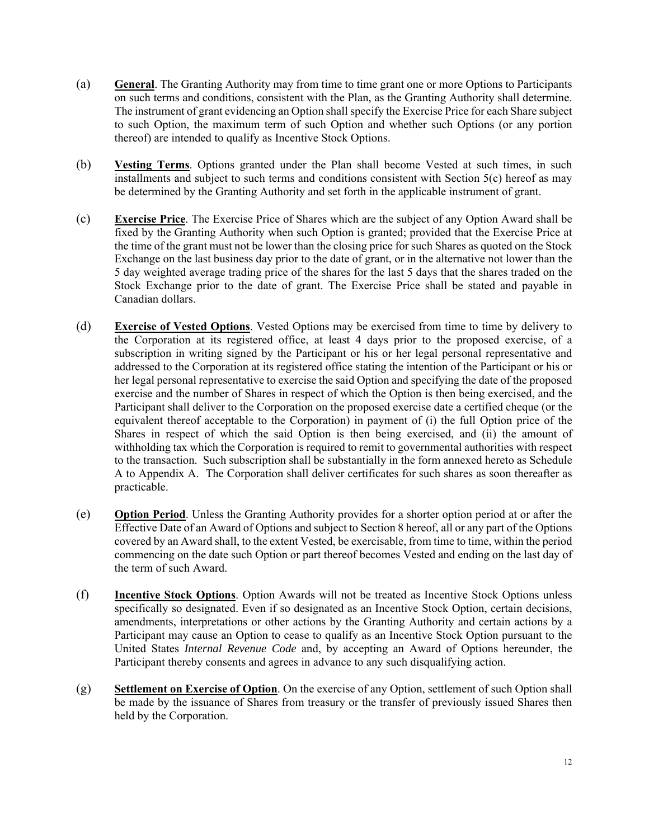- (a) **General**. The Granting Authority may from time to time grant one or more Options to Participants on such terms and conditions, consistent with the Plan, as the Granting Authority shall determine. The instrument of grant evidencing an Option shall specify the Exercise Price for each Share subject to such Option, the maximum term of such Option and whether such Options (or any portion thereof) are intended to qualify as Incentive Stock Options.
- (b) **Vesting Terms**. Options granted under the Plan shall become Vested at such times, in such installments and subject to such terms and conditions consistent with Section 5(c) hereof as may be determined by the Granting Authority and set forth in the applicable instrument of grant.
- (c) **Exercise Price**. The Exercise Price of Shares which are the subject of any Option Award shall be fixed by the Granting Authority when such Option is granted; provided that the Exercise Price at the time of the grant must not be lower than the closing price for such Shares as quoted on the Stock Exchange on the last business day prior to the date of grant, or in the alternative not lower than the 5 day weighted average trading price of the shares for the last 5 days that the shares traded on the Stock Exchange prior to the date of grant. The Exercise Price shall be stated and payable in Canadian dollars.
- (d) **Exercise of Vested Options**. Vested Options may be exercised from time to time by delivery to the Corporation at its registered office, at least 4 days prior to the proposed exercise, of a subscription in writing signed by the Participant or his or her legal personal representative and addressed to the Corporation at its registered office stating the intention of the Participant or his or her legal personal representative to exercise the said Option and specifying the date of the proposed exercise and the number of Shares in respect of which the Option is then being exercised, and the Participant shall deliver to the Corporation on the proposed exercise date a certified cheque (or the equivalent thereof acceptable to the Corporation) in payment of (i) the full Option price of the Shares in respect of which the said Option is then being exercised, and (ii) the amount of withholding tax which the Corporation is required to remit to governmental authorities with respect to the transaction. Such subscription shall be substantially in the form annexed hereto as Schedule A to Appendix A. The Corporation shall deliver certificates for such shares as soon thereafter as practicable.
- (e) **Option Period**. Unless the Granting Authority provides for a shorter option period at or after the Effective Date of an Award of Options and subject to Section 8 hereof, all or any part of the Options covered by an Award shall, to the extent Vested, be exercisable, from time to time, within the period commencing on the date such Option or part thereof becomes Vested and ending on the last day of the term of such Award.
- (f) **Incentive Stock Options**. Option Awards will not be treated as Incentive Stock Options unless specifically so designated. Even if so designated as an Incentive Stock Option, certain decisions, amendments, interpretations or other actions by the Granting Authority and certain actions by a Participant may cause an Option to cease to qualify as an Incentive Stock Option pursuant to the United States *Internal Revenue Code* and, by accepting an Award of Options hereunder, the Participant thereby consents and agrees in advance to any such disqualifying action.
- (g) **Settlement on Exercise of Option**. On the exercise of any Option, settlement of such Option shall be made by the issuance of Shares from treasury or the transfer of previously issued Shares then held by the Corporation.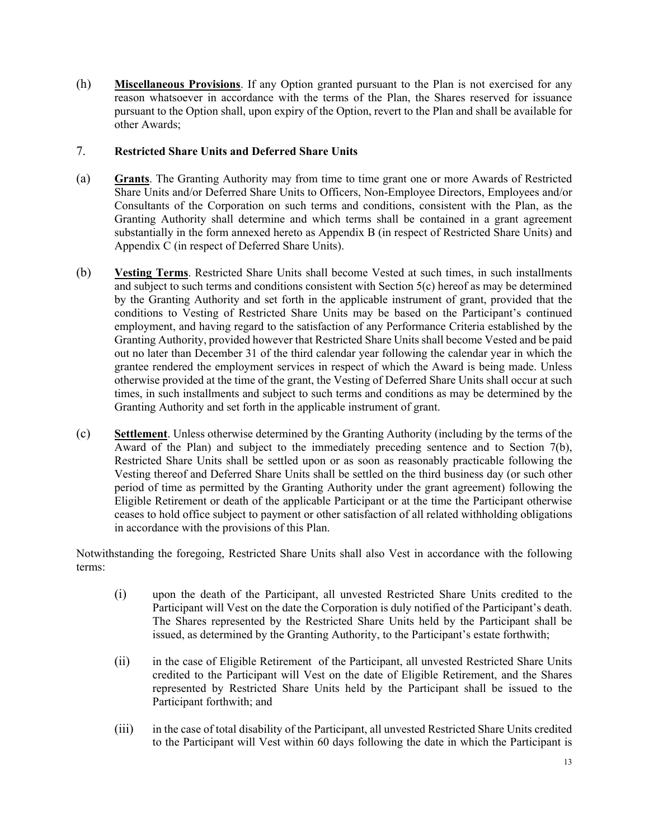(h) **Miscellaneous Provisions**. If any Option granted pursuant to the Plan is not exercised for any reason whatsoever in accordance with the terms of the Plan, the Shares reserved for issuance pursuant to the Option shall, upon expiry of the Option, revert to the Plan and shall be available for other Awards;

## 7. **Restricted Share Units and Deferred Share Units**

- (a) **Grants**. The Granting Authority may from time to time grant one or more Awards of Restricted Share Units and/or Deferred Share Units to Officers, Non-Employee Directors, Employees and/or Consultants of the Corporation on such terms and conditions, consistent with the Plan, as the Granting Authority shall determine and which terms shall be contained in a grant agreement substantially in the form annexed hereto as Appendix B (in respect of Restricted Share Units) and Appendix C (in respect of Deferred Share Units).
- (b) **Vesting Terms**. Restricted Share Units shall become Vested at such times, in such installments and subject to such terms and conditions consistent with Section  $5(c)$  hereof as may be determined by the Granting Authority and set forth in the applicable instrument of grant, provided that the conditions to Vesting of Restricted Share Units may be based on the Participant's continued employment, and having regard to the satisfaction of any Performance Criteria established by the Granting Authority, provided however that Restricted Share Units shall become Vested and be paid out no later than December 31 of the third calendar year following the calendar year in which the grantee rendered the employment services in respect of which the Award is being made. Unless otherwise provided at the time of the grant, the Vesting of Deferred Share Units shall occur at such times, in such installments and subject to such terms and conditions as may be determined by the Granting Authority and set forth in the applicable instrument of grant.
- (c) **Settlement**. Unless otherwise determined by the Granting Authority (including by the terms of the Award of the Plan) and subject to the immediately preceding sentence and to Section 7(b), Restricted Share Units shall be settled upon or as soon as reasonably practicable following the Vesting thereof and Deferred Share Units shall be settled on the third business day (or such other period of time as permitted by the Granting Authority under the grant agreement) following the Eligible Retirement or death of the applicable Participant or at the time the Participant otherwise ceases to hold office subject to payment or other satisfaction of all related withholding obligations in accordance with the provisions of this Plan.

Notwithstanding the foregoing, Restricted Share Units shall also Vest in accordance with the following terms:

- (i) upon the death of the Participant, all unvested Restricted Share Units credited to the Participant will Vest on the date the Corporation is duly notified of the Participant's death. The Shares represented by the Restricted Share Units held by the Participant shall be issued, as determined by the Granting Authority, to the Participant's estate forthwith;
- (ii) in the case of Eligible Retirement of the Participant, all unvested Restricted Share Units credited to the Participant will Vest on the date of Eligible Retirement, and the Shares represented by Restricted Share Units held by the Participant shall be issued to the Participant forthwith; and
- (iii) in the case of total disability of the Participant, all unvested Restricted Share Units credited to the Participant will Vest within 60 days following the date in which the Participant is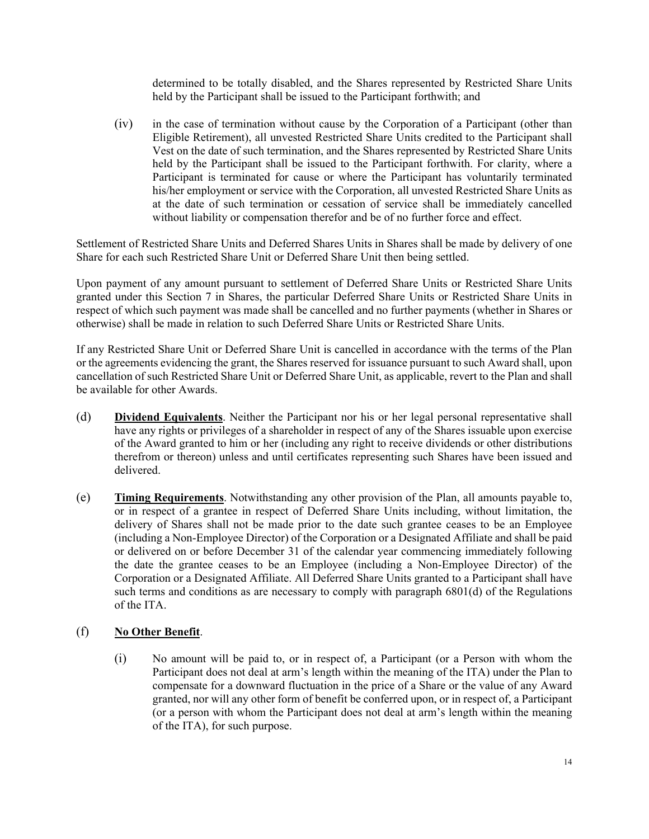determined to be totally disabled, and the Shares represented by Restricted Share Units held by the Participant shall be issued to the Participant forthwith; and

(iv) in the case of termination without cause by the Corporation of a Participant (other than Eligible Retirement), all unvested Restricted Share Units credited to the Participant shall Vest on the date of such termination, and the Shares represented by Restricted Share Units held by the Participant shall be issued to the Participant forthwith. For clarity, where a Participant is terminated for cause or where the Participant has voluntarily terminated his/her employment or service with the Corporation, all unvested Restricted Share Units as at the date of such termination or cessation of service shall be immediately cancelled without liability or compensation therefor and be of no further force and effect.

Settlement of Restricted Share Units and Deferred Shares Units in Shares shall be made by delivery of one Share for each such Restricted Share Unit or Deferred Share Unit then being settled.

Upon payment of any amount pursuant to settlement of Deferred Share Units or Restricted Share Units granted under this Section 7 in Shares, the particular Deferred Share Units or Restricted Share Units in respect of which such payment was made shall be cancelled and no further payments (whether in Shares or otherwise) shall be made in relation to such Deferred Share Units or Restricted Share Units.

If any Restricted Share Unit or Deferred Share Unit is cancelled in accordance with the terms of the Plan or the agreements evidencing the grant, the Shares reserved for issuance pursuant to such Award shall, upon cancellation of such Restricted Share Unit or Deferred Share Unit, as applicable, revert to the Plan and shall be available for other Awards.

- (d) **Dividend Equivalents**. Neither the Participant nor his or her legal personal representative shall have any rights or privileges of a shareholder in respect of any of the Shares issuable upon exercise of the Award granted to him or her (including any right to receive dividends or other distributions therefrom or thereon) unless and until certificates representing such Shares have been issued and delivered.
- (e) **Timing Requirements**. Notwithstanding any other provision of the Plan, all amounts payable to, or in respect of a grantee in respect of Deferred Share Units including, without limitation, the delivery of Shares shall not be made prior to the date such grantee ceases to be an Employee (including a Non-Employee Director) of the Corporation or a Designated Affiliate and shall be paid or delivered on or before December 31 of the calendar year commencing immediately following the date the grantee ceases to be an Employee (including a Non-Employee Director) of the Corporation or a Designated Affiliate. All Deferred Share Units granted to a Participant shall have such terms and conditions as are necessary to comply with paragraph 6801(d) of the Regulations of the ITA.

## (f) **No Other Benefit**.

(i) No amount will be paid to, or in respect of, a Participant (or a Person with whom the Participant does not deal at arm's length within the meaning of the ITA) under the Plan to compensate for a downward fluctuation in the price of a Share or the value of any Award granted, nor will any other form of benefit be conferred upon, or in respect of, a Participant (or a person with whom the Participant does not deal at arm's length within the meaning of the ITA), for such purpose.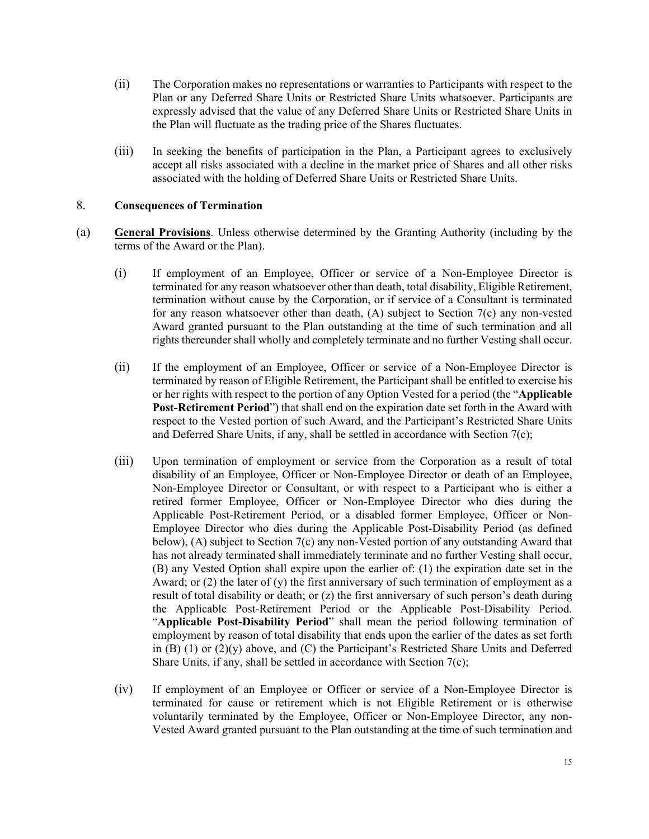- (ii) The Corporation makes no representations or warranties to Participants with respect to the Plan or any Deferred Share Units or Restricted Share Units whatsoever. Participants are expressly advised that the value of any Deferred Share Units or Restricted Share Units in the Plan will fluctuate as the trading price of the Shares fluctuates.
- (iii) In seeking the benefits of participation in the Plan, a Participant agrees to exclusively accept all risks associated with a decline in the market price of Shares and all other risks associated with the holding of Deferred Share Units or Restricted Share Units.

### 8. **Consequences of Termination**

- (a) **General Provisions**. Unless otherwise determined by the Granting Authority (including by the terms of the Award or the Plan).
	- (i) If employment of an Employee, Officer or service of a Non-Employee Director is terminated for any reason whatsoever other than death, total disability, Eligible Retirement, termination without cause by the Corporation, or if service of a Consultant is terminated for any reason whatsoever other than death, (A) subject to Section 7(c) any non-vested Award granted pursuant to the Plan outstanding at the time of such termination and all rights thereunder shall wholly and completely terminate and no further Vesting shall occur.
	- (ii) If the employment of an Employee, Officer or service of a Non-Employee Director is terminated by reason of Eligible Retirement, the Participant shall be entitled to exercise his or her rights with respect to the portion of any Option Vested for a period (the "**Applicable Post-Retirement Period**") that shall end on the expiration date set forth in the Award with respect to the Vested portion of such Award, and the Participant's Restricted Share Units and Deferred Share Units, if any, shall be settled in accordance with Section 7(c);
	- (iii) Upon termination of employment or service from the Corporation as a result of total disability of an Employee, Officer or Non-Employee Director or death of an Employee, Non-Employee Director or Consultant, or with respect to a Participant who is either a retired former Employee, Officer or Non-Employee Director who dies during the Applicable Post-Retirement Period, or a disabled former Employee, Officer or Non-Employee Director who dies during the Applicable Post-Disability Period (as defined below), (A) subject to Section 7(c) any non-Vested portion of any outstanding Award that has not already terminated shall immediately terminate and no further Vesting shall occur, (B) any Vested Option shall expire upon the earlier of: (1) the expiration date set in the Award; or  $(2)$  the later of  $(y)$  the first anniversary of such termination of employment as a result of total disability or death; or (z) the first anniversary of such person's death during the Applicable Post-Retirement Period or the Applicable Post-Disability Period. "**Applicable Post-Disability Period**" shall mean the period following termination of employment by reason of total disability that ends upon the earlier of the dates as set forth in (B) (1) or (2)(y) above, and (C) the Participant's Restricted Share Units and Deferred Share Units, if any, shall be settled in accordance with Section 7(c);
	- (iv) If employment of an Employee or Officer or service of a Non-Employee Director is terminated for cause or retirement which is not Eligible Retirement or is otherwise voluntarily terminated by the Employee, Officer or Non-Employee Director, any non-Vested Award granted pursuant to the Plan outstanding at the time of such termination and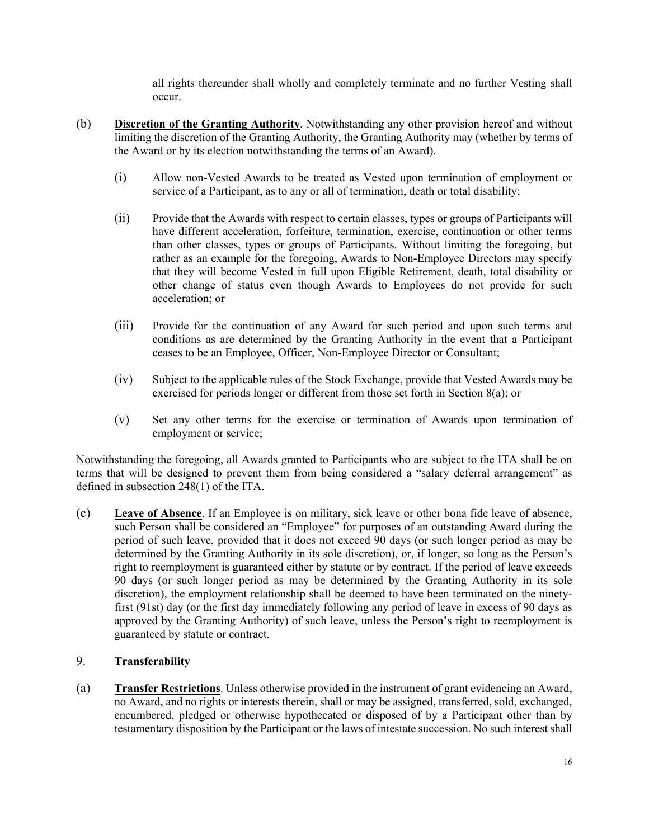all rights thereunder shall wholly and completely terminate and no further Vesting shall occur.

- (b) **Discretion of the Granting Authority**. Notwithstanding any other provision hereof and without limiting the discretion of the Granting Authority, the Granting Authority may (whether by terms of the Award or by its election notwithstanding the terms of an Award).
	- (i) Allow non-Vested Awards to be treated as Vested upon termination of employment or service of a Participant, as to any or all of termination, death or total disability;
	- (ii) Provide that the Awards with respect to certain classes, types or groups of Participants will have different acceleration, forfeiture, termination, exercise, continuation or other terms than other classes, types or groups of Participants. Without limiting the foregoing, but rather as an example for the foregoing, Awards to Non-Employee Directors may specify that they will become Vested in full upon Eligible Retirement, death, total disability or other change of status even though Awards to Employees do not provide for such acceleration; or
	- (iii) Provide for the continuation of any Award for such period and upon such terms and conditions as are determined by the Granting Authority in the event that a Participant ceases to be an Employee, Officer, Non-Employee Director or Consultant;
	- (iv) Subject to the applicable rules of the Stock Exchange, provide that Vested Awards may be exercised for periods longer or different from those set forth in Section 8(a); or
	- (v) Set any other terms for the exercise or termination of Awards upon termination of employment or service;

Notwithstanding the foregoing, all Awards granted to Participants who are subject to the ITA shall be on terms that will be designed to prevent them from being considered a "salary deferral arrangement" as defined in subsection 248(1) of the ITA.

(c) **Leave of Absence**. If an Employee is on military, sick leave or other bona fide leave of absence, such Person shall be considered an "Employee" for purposes of an outstanding Award during the period of such leave, provided that it does not exceed 90 days (or such longer period as may be determined by the Granting Authority in its sole discretion), or, if longer, so long as the Person's right to reemployment is guaranteed either by statute or by contract. If the period of leave exceeds 90 days (or such longer period as may be determined by the Granting Authority in its sole discretion), the employment relationship shall be deemed to have been terminated on the ninetyfirst (91st) day (or the first day immediately following any period of leave in excess of 90 days as approved by the Granting Authority) of such leave, unless the Person's right to reemployment is guaranteed by statute or contract.

### 9. **Transferability**

(a) **Transfer Restrictions**. Unless otherwise provided in the instrument of grant evidencing an Award, no Award, and no rights or interests therein, shall or may be assigned, transferred, sold, exchanged, encumbered, pledged or otherwise hypothecated or disposed of by a Participant other than by testamentary disposition by the Participant or the laws of intestate succession. No such interest shall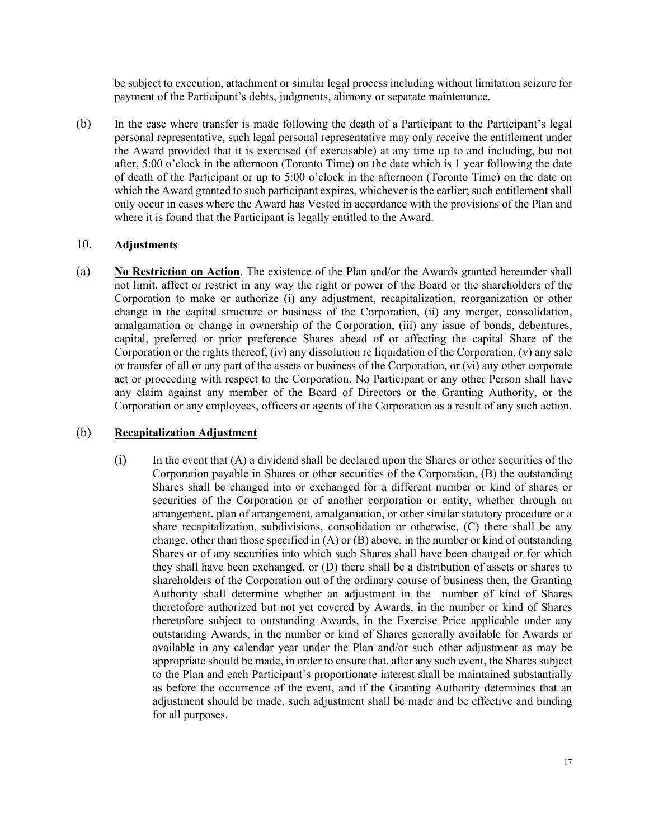be subject to execution, attachment or similar legal process including without limitation seizure for payment of the Participant's debts, judgments, alimony or separate maintenance.

(b) In the case where transfer is made following the death of a Participant to the Participant's legal personal representative, such legal personal representative may only receive the entitlement under the Award provided that it is exercised (if exercisable) at any time up to and including, but not after, 5:00 o'clock in the afternoon (Toronto Time) on the date which is 1 year following the date of death of the Participant or up to 5:00 o'clock in the afternoon (Toronto Time) on the date on which the Award granted to such participant expires, whichever is the earlier; such entitlement shall only occur in cases where the Award has Vested in accordance with the provisions of the Plan and where it is found that the Participant is legally entitled to the Award.

## 10. **Adjustments**

(a) **No Restriction on Action**. The existence of the Plan and/or the Awards granted hereunder shall not limit, affect or restrict in any way the right or power of the Board or the shareholders of the Corporation to make or authorize (i) any adjustment, recapitalization, reorganization or other change in the capital structure or business of the Corporation, (ii) any merger, consolidation, amalgamation or change in ownership of the Corporation, (iii) any issue of bonds, debentures, capital, preferred or prior preference Shares ahead of or affecting the capital Share of the Corporation or the rights thereof, (iv) any dissolution re liquidation of the Corporation, (v) any sale or transfer of all or any part of the assets or business of the Corporation, or (vi) any other corporate act or proceeding with respect to the Corporation. No Participant or any other Person shall have any claim against any member of the Board of Directors or the Granting Authority, or the Corporation or any employees, officers or agents of the Corporation as a result of any such action.

### (b) **Recapitalization Adjustment**

(i) In the event that (A) a dividend shall be declared upon the Shares or other securities of the Corporation payable in Shares or other securities of the Corporation, (B) the outstanding Shares shall be changed into or exchanged for a different number or kind of shares or securities of the Corporation or of another corporation or entity, whether through an arrangement, plan of arrangement, amalgamation, or other similar statutory procedure or a share recapitalization, subdivisions, consolidation or otherwise, (C) there shall be any change, other than those specified in (A) or (B) above, in the number or kind of outstanding Shares or of any securities into which such Shares shall have been changed or for which they shall have been exchanged, or (D) there shall be a distribution of assets or shares to shareholders of the Corporation out of the ordinary course of business then, the Granting Authority shall determine whether an adjustment in the number of kind of Shares theretofore authorized but not yet covered by Awards, in the number or kind of Shares theretofore subject to outstanding Awards, in the Exercise Price applicable under any outstanding Awards, in the number or kind of Shares generally available for Awards or available in any calendar year under the Plan and/or such other adjustment as may be appropriate should be made, in order to ensure that, after any such event, the Shares subject to the Plan and each Participant's proportionate interest shall be maintained substantially as before the occurrence of the event, and if the Granting Authority determines that an adjustment should be made, such adjustment shall be made and be effective and binding for all purposes.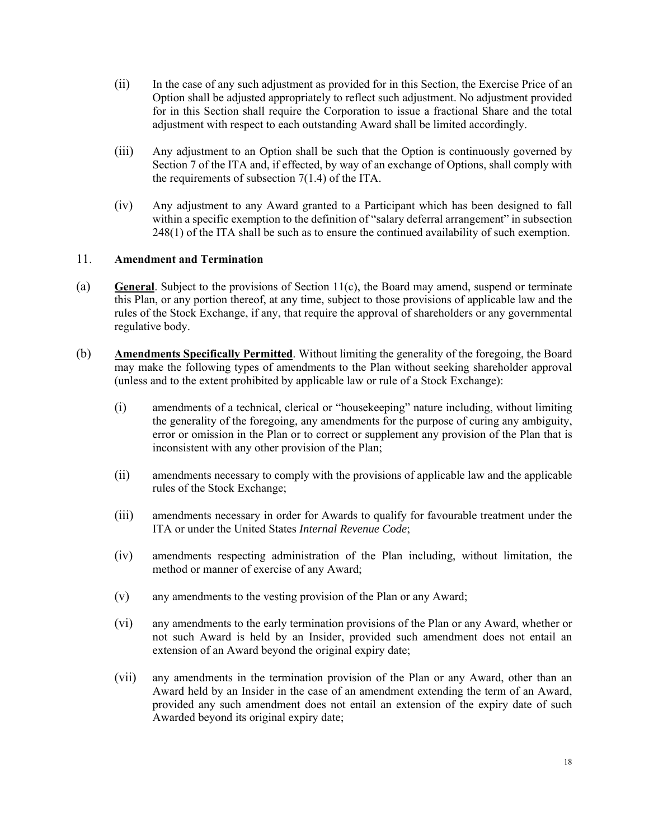- (ii) In the case of any such adjustment as provided for in this Section, the Exercise Price of an Option shall be adjusted appropriately to reflect such adjustment. No adjustment provided for in this Section shall require the Corporation to issue a fractional Share and the total adjustment with respect to each outstanding Award shall be limited accordingly.
- (iii) Any adjustment to an Option shall be such that the Option is continuously governed by Section 7 of the ITA and, if effected, by way of an exchange of Options, shall comply with the requirements of subsection 7(1.4) of the ITA.
- (iv) Any adjustment to any Award granted to a Participant which has been designed to fall within a specific exemption to the definition of "salary deferral arrangement" in subsection 248(1) of the ITA shall be such as to ensure the continued availability of such exemption.

### 11. **Amendment and Termination**

- (a) **General**. Subject to the provisions of Section 11(c), the Board may amend, suspend or terminate this Plan, or any portion thereof, at any time, subject to those provisions of applicable law and the rules of the Stock Exchange, if any, that require the approval of shareholders or any governmental regulative body.
- (b) **Amendments Specifically Permitted**. Without limiting the generality of the foregoing, the Board may make the following types of amendments to the Plan without seeking shareholder approval (unless and to the extent prohibited by applicable law or rule of a Stock Exchange):
	- (i) amendments of a technical, clerical or "housekeeping" nature including, without limiting the generality of the foregoing, any amendments for the purpose of curing any ambiguity, error or omission in the Plan or to correct or supplement any provision of the Plan that is inconsistent with any other provision of the Plan;
	- (ii) amendments necessary to comply with the provisions of applicable law and the applicable rules of the Stock Exchange;
	- (iii) amendments necessary in order for Awards to qualify for favourable treatment under the ITA or under the United States *Internal Revenue Code*;
	- (iv) amendments respecting administration of the Plan including, without limitation, the method or manner of exercise of any Award;
	- (v) any amendments to the vesting provision of the Plan or any Award;
	- (vi) any amendments to the early termination provisions of the Plan or any Award, whether or not such Award is held by an Insider, provided such amendment does not entail an extension of an Award beyond the original expiry date;
	- (vii) any amendments in the termination provision of the Plan or any Award, other than an Award held by an Insider in the case of an amendment extending the term of an Award, provided any such amendment does not entail an extension of the expiry date of such Awarded beyond its original expiry date;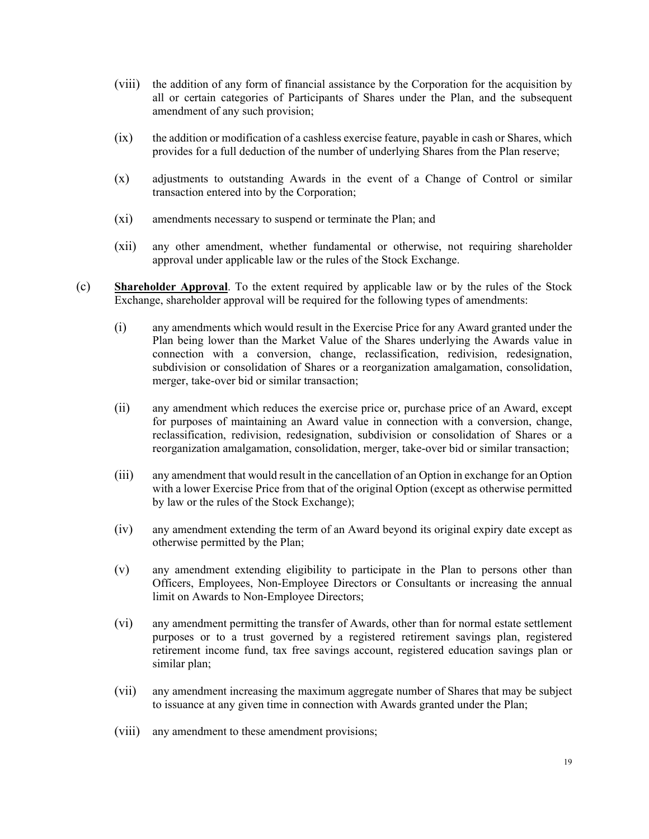- (viii) the addition of any form of financial assistance by the Corporation for the acquisition by all or certain categories of Participants of Shares under the Plan, and the subsequent amendment of any such provision;
- (ix) the addition or modification of a cashless exercise feature, payable in cash or Shares, which provides for a full deduction of the number of underlying Shares from the Plan reserve;
- (x) adjustments to outstanding Awards in the event of a Change of Control or similar transaction entered into by the Corporation;
- (xi) amendments necessary to suspend or terminate the Plan; and
- (xii) any other amendment, whether fundamental or otherwise, not requiring shareholder approval under applicable law or the rules of the Stock Exchange.
- (c) **Shareholder Approval**. To the extent required by applicable law or by the rules of the Stock Exchange, shareholder approval will be required for the following types of amendments:
	- (i) any amendments which would result in the Exercise Price for any Award granted under the Plan being lower than the Market Value of the Shares underlying the Awards value in connection with a conversion, change, reclassification, redivision, redesignation, subdivision or consolidation of Shares or a reorganization amalgamation, consolidation, merger, take-over bid or similar transaction;
	- (ii) any amendment which reduces the exercise price or, purchase price of an Award, except for purposes of maintaining an Award value in connection with a conversion, change, reclassification, redivision, redesignation, subdivision or consolidation of Shares or a reorganization amalgamation, consolidation, merger, take-over bid or similar transaction;
	- (iii) any amendment that would result in the cancellation of an Option in exchange for an Option with a lower Exercise Price from that of the original Option (except as otherwise permitted by law or the rules of the Stock Exchange);
	- (iv) any amendment extending the term of an Award beyond its original expiry date except as otherwise permitted by the Plan;
	- (v) any amendment extending eligibility to participate in the Plan to persons other than Officers, Employees, Non-Employee Directors or Consultants or increasing the annual limit on Awards to Non-Employee Directors;
	- (vi) any amendment permitting the transfer of Awards, other than for normal estate settlement purposes or to a trust governed by a registered retirement savings plan, registered retirement income fund, tax free savings account, registered education savings plan or similar plan;
	- (vii) any amendment increasing the maximum aggregate number of Shares that may be subject to issuance at any given time in connection with Awards granted under the Plan;
	- (viii) any amendment to these amendment provisions;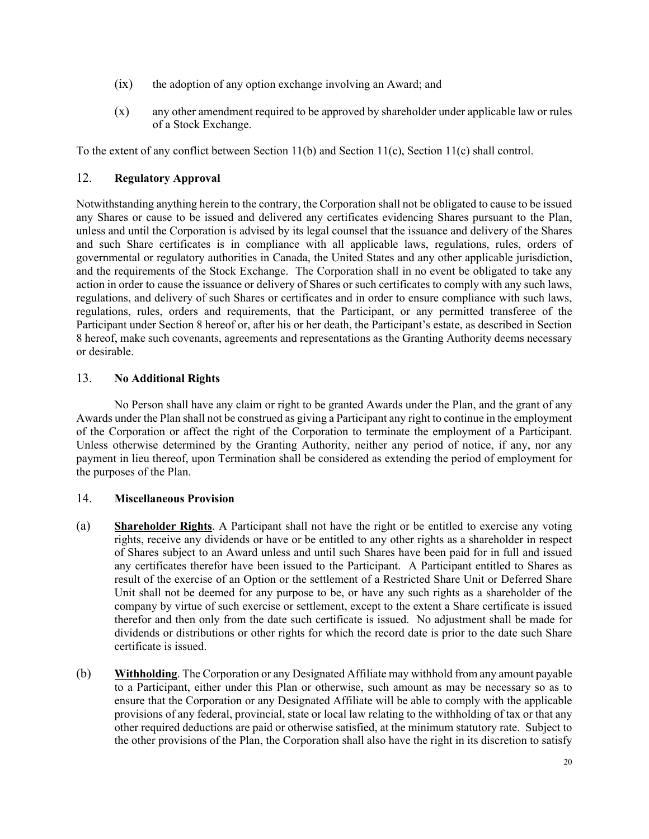- (ix) the adoption of any option exchange involving an Award; and
- (x) any other amendment required to be approved by shareholder under applicable law or rules of a Stock Exchange.

To the extent of any conflict between Section 11(b) and Section 11(c), Section 11(c) shall control.

## 12. **Regulatory Approval**

Notwithstanding anything herein to the contrary, the Corporation shall not be obligated to cause to be issued any Shares or cause to be issued and delivered any certificates evidencing Shares pursuant to the Plan, unless and until the Corporation is advised by its legal counsel that the issuance and delivery of the Shares and such Share certificates is in compliance with all applicable laws, regulations, rules, orders of governmental or regulatory authorities in Canada, the United States and any other applicable jurisdiction, and the requirements of the Stock Exchange. The Corporation shall in no event be obligated to take any action in order to cause the issuance or delivery of Shares or such certificates to comply with any such laws, regulations, and delivery of such Shares or certificates and in order to ensure compliance with such laws, regulations, rules, orders and requirements, that the Participant, or any permitted transferee of the Participant under Section 8 hereof or, after his or her death, the Participant's estate, as described in Section 8 hereof, make such covenants, agreements and representations as the Granting Authority deems necessary or desirable.

## 13. **No Additional Rights**

 No Person shall have any claim or right to be granted Awards under the Plan, and the grant of any Awards under the Plan shall not be construed as giving a Participant any right to continue in the employment of the Corporation or affect the right of the Corporation to terminate the employment of a Participant. Unless otherwise determined by the Granting Authority, neither any period of notice, if any, nor any payment in lieu thereof, upon Termination shall be considered as extending the period of employment for the purposes of the Plan.

### 14. **Miscellaneous Provision**

- (a) **Shareholder Rights**. A Participant shall not have the right or be entitled to exercise any voting rights, receive any dividends or have or be entitled to any other rights as a shareholder in respect of Shares subject to an Award unless and until such Shares have been paid for in full and issued any certificates therefor have been issued to the Participant. A Participant entitled to Shares as result of the exercise of an Option or the settlement of a Restricted Share Unit or Deferred Share Unit shall not be deemed for any purpose to be, or have any such rights as a shareholder of the company by virtue of such exercise or settlement, except to the extent a Share certificate is issued therefor and then only from the date such certificate is issued. No adjustment shall be made for dividends or distributions or other rights for which the record date is prior to the date such Share certificate is issued.
- (b) **Withholding**. The Corporation or any Designated Affiliate may withhold from any amount payable to a Participant, either under this Plan or otherwise, such amount as may be necessary so as to ensure that the Corporation or any Designated Affiliate will be able to comply with the applicable provisions of any federal, provincial, state or local law relating to the withholding of tax or that any other required deductions are paid or otherwise satisfied, at the minimum statutory rate. Subject to the other provisions of the Plan, the Corporation shall also have the right in its discretion to satisfy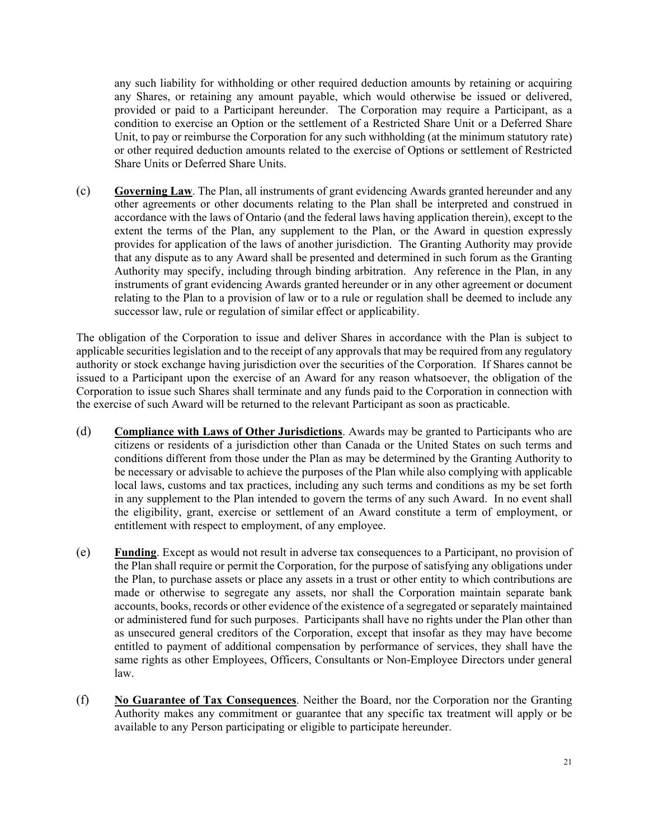any such liability for withholding or other required deduction amounts by retaining or acquiring any Shares, or retaining any amount payable, which would otherwise be issued or delivered, provided or paid to a Participant hereunder. The Corporation may require a Participant, as a condition to exercise an Option or the settlement of a Restricted Share Unit or a Deferred Share Unit, to pay or reimburse the Corporation for any such withholding (at the minimum statutory rate) or other required deduction amounts related to the exercise of Options or settlement of Restricted Share Units or Deferred Share Units.

(c) **Governing Law**. The Plan, all instruments of grant evidencing Awards granted hereunder and any other agreements or other documents relating to the Plan shall be interpreted and construed in accordance with the laws of Ontario (and the federal laws having application therein), except to the extent the terms of the Plan, any supplement to the Plan, or the Award in question expressly provides for application of the laws of another jurisdiction. The Granting Authority may provide that any dispute as to any Award shall be presented and determined in such forum as the Granting Authority may specify, including through binding arbitration. Any reference in the Plan, in any instruments of grant evidencing Awards granted hereunder or in any other agreement or document relating to the Plan to a provision of law or to a rule or regulation shall be deemed to include any successor law, rule or regulation of similar effect or applicability.

The obligation of the Corporation to issue and deliver Shares in accordance with the Plan is subject to applicable securities legislation and to the receipt of any approvals that may be required from any regulatory authority or stock exchange having jurisdiction over the securities of the Corporation. If Shares cannot be issued to a Participant upon the exercise of an Award for any reason whatsoever, the obligation of the Corporation to issue such Shares shall terminate and any funds paid to the Corporation in connection with the exercise of such Award will be returned to the relevant Participant as soon as practicable.

- (d) **Compliance with Laws of Other Jurisdictions**. Awards may be granted to Participants who are citizens or residents of a jurisdiction other than Canada or the United States on such terms and conditions different from those under the Plan as may be determined by the Granting Authority to be necessary or advisable to achieve the purposes of the Plan while also complying with applicable local laws, customs and tax practices, including any such terms and conditions as my be set forth in any supplement to the Plan intended to govern the terms of any such Award. In no event shall the eligibility, grant, exercise or settlement of an Award constitute a term of employment, or entitlement with respect to employment, of any employee.
- (e) **Funding**. Except as would not result in adverse tax consequences to a Participant, no provision of the Plan shall require or permit the Corporation, for the purpose of satisfying any obligations under the Plan, to purchase assets or place any assets in a trust or other entity to which contributions are made or otherwise to segregate any assets, nor shall the Corporation maintain separate bank accounts, books, records or other evidence of the existence of a segregated or separately maintained or administered fund for such purposes. Participants shall have no rights under the Plan other than as unsecured general creditors of the Corporation, except that insofar as they may have become entitled to payment of additional compensation by performance of services, they shall have the same rights as other Employees, Officers, Consultants or Non-Employee Directors under general law.
- (f) **No Guarantee of Tax Consequences**. Neither the Board, nor the Corporation nor the Granting Authority makes any commitment or guarantee that any specific tax treatment will apply or be available to any Person participating or eligible to participate hereunder.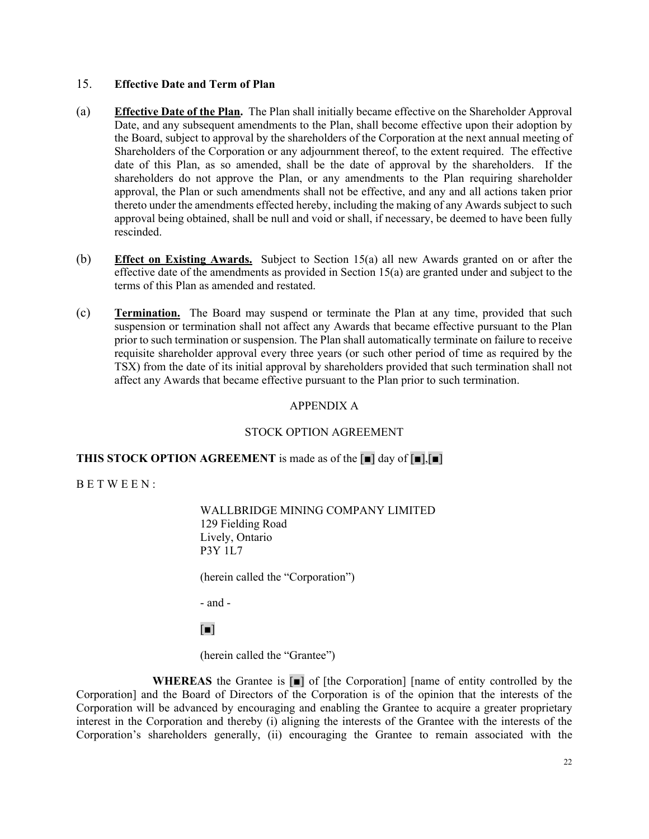### 15. **Effective Date and Term of Plan**

- (a) **Effective Date of the Plan.** The Plan shall initially became effective on the Shareholder Approval Date, and any subsequent amendments to the Plan, shall become effective upon their adoption by the Board, subject to approval by the shareholders of the Corporation at the next annual meeting of Shareholders of the Corporation or any adjournment thereof, to the extent required. The effective date of this Plan, as so amended, shall be the date of approval by the shareholders. If the shareholders do not approve the Plan, or any amendments to the Plan requiring shareholder approval, the Plan or such amendments shall not be effective, and any and all actions taken prior thereto under the amendments effected hereby, including the making of any Awards subject to such approval being obtained, shall be null and void or shall, if necessary, be deemed to have been fully rescinded.
- (b) **Effect on Existing Awards.** Subject to Section 15(a) all new Awards granted on or after the effective date of the amendments as provided in Section  $15(a)$  are granted under and subject to the terms of this Plan as amended and restated.
- (c) **Termination.** The Board may suspend or terminate the Plan at any time, provided that such suspension or termination shall not affect any Awards that became effective pursuant to the Plan prior to such termination or suspension. The Plan shall automatically terminate on failure to receive requisite shareholder approval every three years (or such other period of time as required by the TSX) from the date of its initial approval by shareholders provided that such termination shall not affect any Awards that became effective pursuant to the Plan prior to such termination.

### APPENDIX A

### STOCK OPTION AGREEMENT

### **THIS STOCK OPTION AGREEMENT** is made as of the [■] day of [■],[■]

B E T W E E N :

### WALLBRIDGE MINING COMPANY LIMITED 129 Fielding Road Lively, Ontario P3Y 1L7

(herein called the "Corporation")

- and -

## [■]

(herein called the "Grantee")

 **WHEREAS** the Grantee is [■] of [the Corporation] [name of entity controlled by the Corporation] and the Board of Directors of the Corporation is of the opinion that the interests of the Corporation will be advanced by encouraging and enabling the Grantee to acquire a greater proprietary interest in the Corporation and thereby (i) aligning the interests of the Grantee with the interests of the Corporation's shareholders generally, (ii) encouraging the Grantee to remain associated with the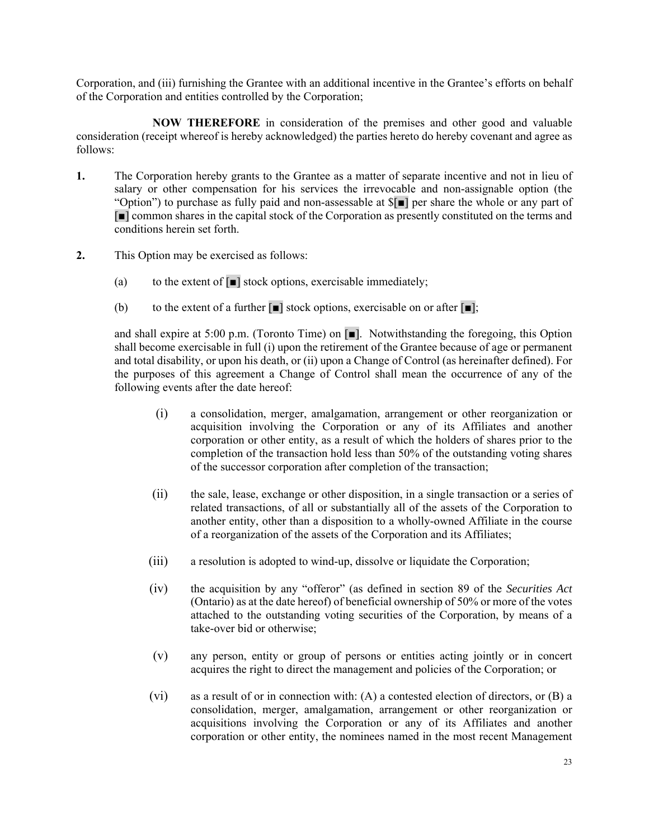Corporation, and (iii) furnishing the Grantee with an additional incentive in the Grantee's efforts on behalf of the Corporation and entities controlled by the Corporation;

 **NOW THEREFORE** in consideration of the premises and other good and valuable consideration (receipt whereof is hereby acknowledged) the parties hereto do hereby covenant and agree as follows:

- **1.** The Corporation hereby grants to the Grantee as a matter of separate incentive and not in lieu of salary or other compensation for his services the irrevocable and non-assignable option (the "Option") to purchase as fully paid and non-assessable at \$[■] per share the whole or any part of [■] common shares in the capital stock of the Corporation as presently constituted on the terms and conditions herein set forth.
- **2.** This Option may be exercised as follows:
	- (a) to the extent of  $\boxed{\blacksquare}$  stock options, exercisable immediately;
	- (b) to the extent of a further  $\lceil \bullet \rceil$  stock options, exercisable on or after  $\lceil \bullet \rceil$ ;

and shall expire at 5:00 p.m. (Toronto Time) on [■]. Notwithstanding the foregoing, this Option shall become exercisable in full (i) upon the retirement of the Grantee because of age or permanent and total disability, or upon his death, or (ii) upon a Change of Control (as hereinafter defined). For the purposes of this agreement a Change of Control shall mean the occurrence of any of the following events after the date hereof:

- (i) a consolidation, merger, amalgamation, arrangement or other reorganization or acquisition involving the Corporation or any of its Affiliates and another corporation or other entity, as a result of which the holders of shares prior to the completion of the transaction hold less than 50% of the outstanding voting shares of the successor corporation after completion of the transaction;
- (ii) the sale, lease, exchange or other disposition, in a single transaction or a series of related transactions, of all or substantially all of the assets of the Corporation to another entity, other than a disposition to a wholly-owned Affiliate in the course of a reorganization of the assets of the Corporation and its Affiliates;
- (iii) a resolution is adopted to wind-up, dissolve or liquidate the Corporation;
- (iv) the acquisition by any "offeror" (as defined in section 89 of the *Securities Act* (Ontario) as at the date hereof) of beneficial ownership of 50% or more of the votes attached to the outstanding voting securities of the Corporation, by means of a take-over bid or otherwise;
- (v) any person, entity or group of persons or entities acting jointly or in concert acquires the right to direct the management and policies of the Corporation; or
- (vi) as a result of or in connection with: (A) a contested election of directors, or (B) a consolidation, merger, amalgamation, arrangement or other reorganization or acquisitions involving the Corporation or any of its Affiliates and another corporation or other entity, the nominees named in the most recent Management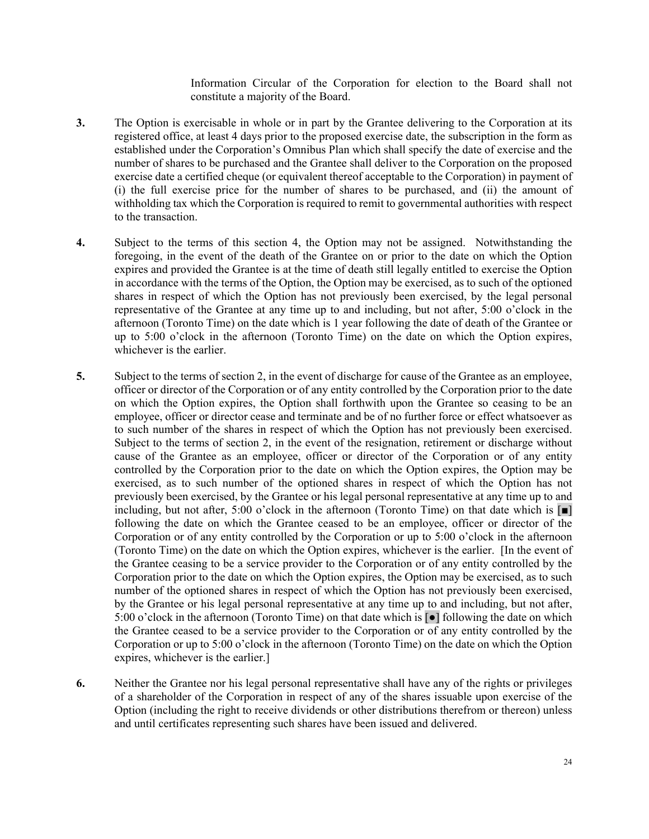Information Circular of the Corporation for election to the Board shall not constitute a majority of the Board.

- **3.** The Option is exercisable in whole or in part by the Grantee delivering to the Corporation at its registered office, at least 4 days prior to the proposed exercise date, the subscription in the form as established under the Corporation's Omnibus Plan which shall specify the date of exercise and the number of shares to be purchased and the Grantee shall deliver to the Corporation on the proposed exercise date a certified cheque (or equivalent thereof acceptable to the Corporation) in payment of (i) the full exercise price for the number of shares to be purchased, and (ii) the amount of withholding tax which the Corporation is required to remit to governmental authorities with respect to the transaction.
- **4.** Subject to the terms of this section 4, the Option may not be assigned. Notwithstanding the foregoing, in the event of the death of the Grantee on or prior to the date on which the Option expires and provided the Grantee is at the time of death still legally entitled to exercise the Option in accordance with the terms of the Option, the Option may be exercised, as to such of the optioned shares in respect of which the Option has not previously been exercised, by the legal personal representative of the Grantee at any time up to and including, but not after, 5:00 o'clock in the afternoon (Toronto Time) on the date which is 1 year following the date of death of the Grantee or up to 5:00 o'clock in the afternoon (Toronto Time) on the date on which the Option expires, whichever is the earlier.
- **5.** Subject to the terms of section 2, in the event of discharge for cause of the Grantee as an employee, officer or director of the Corporation or of any entity controlled by the Corporation prior to the date on which the Option expires, the Option shall forthwith upon the Grantee so ceasing to be an employee, officer or director cease and terminate and be of no further force or effect whatsoever as to such number of the shares in respect of which the Option has not previously been exercised. Subject to the terms of section 2, in the event of the resignation, retirement or discharge without cause of the Grantee as an employee, officer or director of the Corporation or of any entity controlled by the Corporation prior to the date on which the Option expires, the Option may be exercised, as to such number of the optioned shares in respect of which the Option has not previously been exercised, by the Grantee or his legal personal representative at any time up to and including, but not after, 5:00 o'clock in the afternoon (Toronto Time) on that date which is  $\boxed{\blacksquare}$ following the date on which the Grantee ceased to be an employee, officer or director of the Corporation or of any entity controlled by the Corporation or up to 5:00 o'clock in the afternoon (Toronto Time) on the date on which the Option expires, whichever is the earlier. [In the event of the Grantee ceasing to be a service provider to the Corporation or of any entity controlled by the Corporation prior to the date on which the Option expires, the Option may be exercised, as to such number of the optioned shares in respect of which the Option has not previously been exercised, by the Grantee or his legal personal representative at any time up to and including, but not after, 5:00 o'clock in the afternoon (Toronto Time) on that date which is [●] following the date on which the Grantee ceased to be a service provider to the Corporation or of any entity controlled by the Corporation or up to 5:00 o'clock in the afternoon (Toronto Time) on the date on which the Option expires, whichever is the earlier.]
- **6.** Neither the Grantee nor his legal personal representative shall have any of the rights or privileges of a shareholder of the Corporation in respect of any of the shares issuable upon exercise of the Option (including the right to receive dividends or other distributions therefrom or thereon) unless and until certificates representing such shares have been issued and delivered.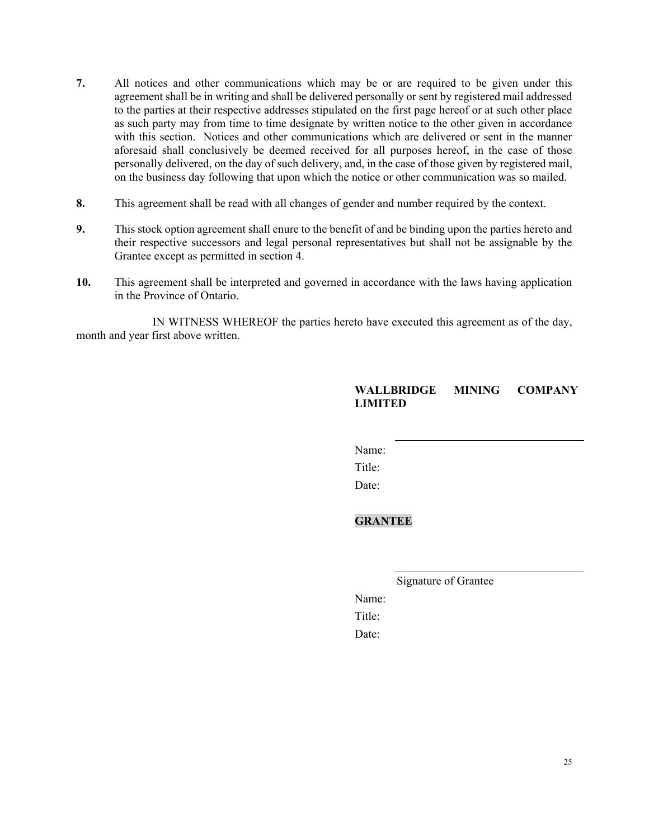- **7.** All notices and other communications which may be or are required to be given under this agreement shall be in writing and shall be delivered personally or sent by registered mail addressed to the parties at their respective addresses stipulated on the first page hereof or at such other place as such party may from time to time designate by written notice to the other given in accordance with this section. Notices and other communications which are delivered or sent in the manner aforesaid shall conclusively be deemed received for all purposes hereof, in the case of those personally delivered, on the day of such delivery, and, in the case of those given by registered mail, on the business day following that upon which the notice or other communication was so mailed.
- **8.** This agreement shall be read with all changes of gender and number required by the context.
- **9.** This stock option agreement shall enure to the benefit of and be binding upon the parties hereto and their respective successors and legal personal representatives but shall not be assignable by the Grantee except as permitted in section 4.
- **10.** This agreement shall be interpreted and governed in accordance with the laws having application in the Province of Ontario.

 IN WITNESS WHEREOF the parties hereto have executed this agreement as of the day, month and year first above written.

## **WALLBRIDGE MINING COMPANY LIMITED**

Name:

Title:

Date:

## **GRANTEE**

Signature of Grantee

Name:

Title: Date: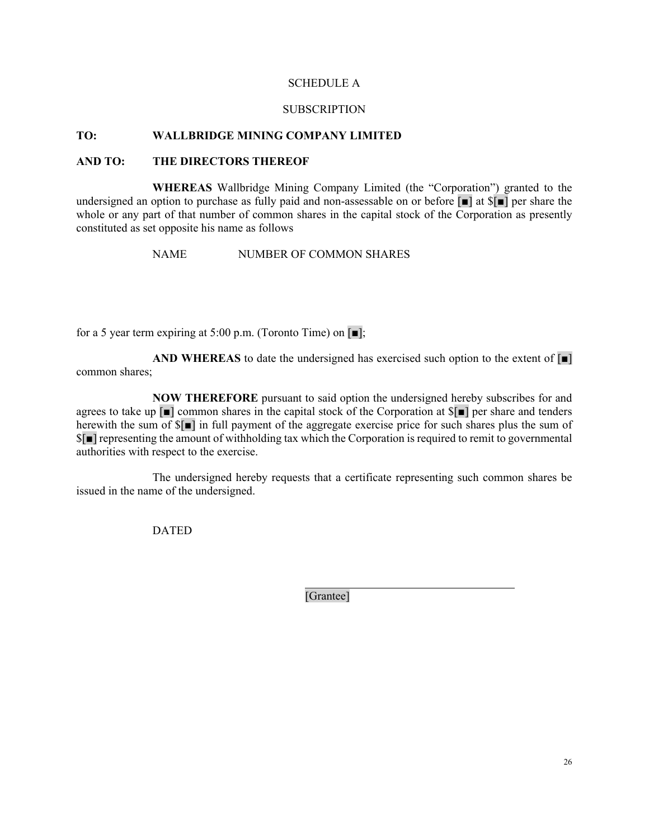### SCHEDULE A

#### **SUBSCRIPTION**

### **TO: WALLBRIDGE MINING COMPANY LIMITED**

#### **AND TO: THE DIRECTORS THEREOF**

**WHEREAS** Wallbridge Mining Company Limited (the "Corporation") granted to the undersigned an option to purchase as fully paid and non-assessable on or before [■] at \$[■] per share the whole or any part of that number of common shares in the capital stock of the Corporation as presently constituted as set opposite his name as follows

NAME NUMBER OF COMMON SHARES

for a 5 year term expiring at 5:00 p.m. (Toronto Time) on  $\lceil \blacksquare \rceil$ ;

 **AND WHEREAS** to date the undersigned has exercised such option to the extent of [■] common shares;

 **NOW THEREFORE** pursuant to said option the undersigned hereby subscribes for and agrees to take up [■] common shares in the capital stock of the Corporation at \$[■] per share and tenders herewith the sum of \$[■] in full payment of the aggregate exercise price for such shares plus the sum of \$[■] representing the amount of withholding tax which the Corporation is required to remit to governmental authorities with respect to the exercise.

 The undersigned hereby requests that a certificate representing such common shares be issued in the name of the undersigned.

DATED

[Grantee]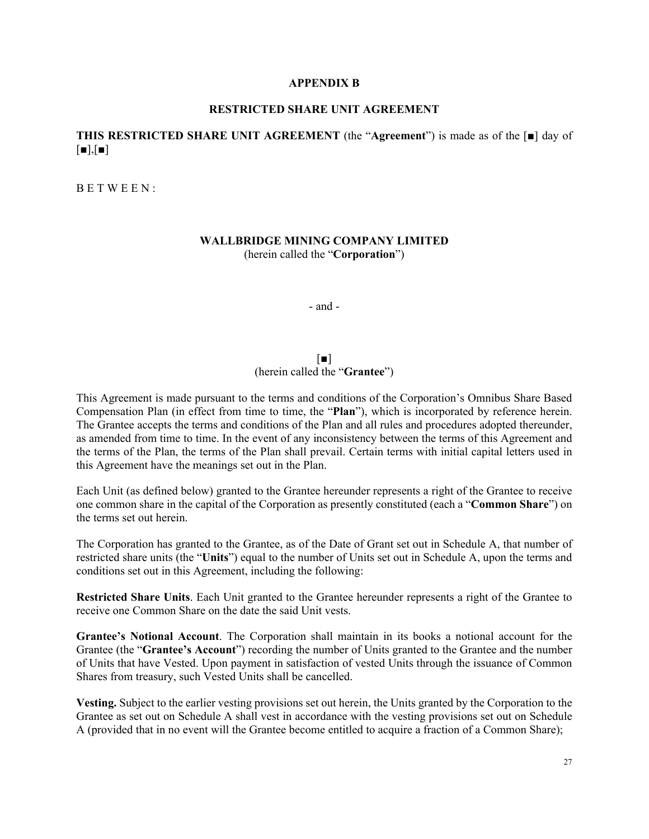#### **APPENDIX B**

#### **RESTRICTED SHARE UNIT AGREEMENT**

**THIS RESTRICTED SHARE UNIT AGREEMENT** (the "**Agreement**") is made as of the [■] day of  $[\blacksquare], [\blacksquare]$ 

B E T W E E N :

## **WALLBRIDGE MINING COMPANY LIMITED** (herein called the "**Corporation**")

- and -

#### $\lceil \bullet \rceil$ (herein called the "**Grantee**")

This Agreement is made pursuant to the terms and conditions of the Corporation's Omnibus Share Based Compensation Plan (in effect from time to time, the "**Plan**"), which is incorporated by reference herein. The Grantee accepts the terms and conditions of the Plan and all rules and procedures adopted thereunder, as amended from time to time. In the event of any inconsistency between the terms of this Agreement and the terms of the Plan, the terms of the Plan shall prevail. Certain terms with initial capital letters used in this Agreement have the meanings set out in the Plan.

Each Unit (as defined below) granted to the Grantee hereunder represents a right of the Grantee to receive one common share in the capital of the Corporation as presently constituted (each a "**Common Share**") on the terms set out herein.

The Corporation has granted to the Grantee, as of the Date of Grant set out in Schedule A, that number of restricted share units (the "**Units**") equal to the number of Units set out in Schedule A, upon the terms and conditions set out in this Agreement, including the following:

**Restricted Share Units**. Each Unit granted to the Grantee hereunder represents a right of the Grantee to receive one Common Share on the date the said Unit vests.

**Grantee's Notional Account**. The Corporation shall maintain in its books a notional account for the Grantee (the "**Grantee's Account**") recording the number of Units granted to the Grantee and the number of Units that have Vested. Upon payment in satisfaction of vested Units through the issuance of Common Shares from treasury, such Vested Units shall be cancelled.

**Vesting.** Subject to the earlier vesting provisions set out herein, the Units granted by the Corporation to the Grantee as set out on Schedule A shall vest in accordance with the vesting provisions set out on Schedule A (provided that in no event will the Grantee become entitled to acquire a fraction of a Common Share);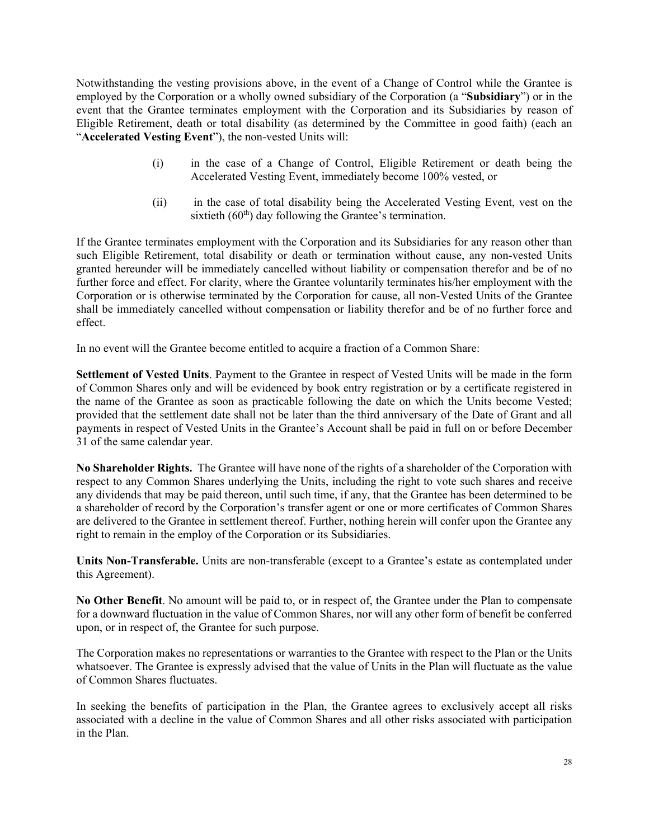Notwithstanding the vesting provisions above, in the event of a Change of Control while the Grantee is employed by the Corporation or a wholly owned subsidiary of the Corporation (a "**Subsidiary**") or in the event that the Grantee terminates employment with the Corporation and its Subsidiaries by reason of Eligible Retirement, death or total disability (as determined by the Committee in good faith) (each an "**Accelerated Vesting Event**"), the non-vested Units will:

- (i) in the case of a Change of Control, Eligible Retirement or death being the Accelerated Vesting Event, immediately become 100% vested, or
- (ii) in the case of total disability being the Accelerated Vesting Event, vest on the sixtieth  $(60<sup>th</sup>)$  day following the Grantee's termination.

If the Grantee terminates employment with the Corporation and its Subsidiaries for any reason other than such Eligible Retirement, total disability or death or termination without cause, any non-vested Units granted hereunder will be immediately cancelled without liability or compensation therefor and be of no further force and effect. For clarity, where the Grantee voluntarily terminates his/her employment with the Corporation or is otherwise terminated by the Corporation for cause, all non-Vested Units of the Grantee shall be immediately cancelled without compensation or liability therefor and be of no further force and effect.

In no event will the Grantee become entitled to acquire a fraction of a Common Share:

**Settlement of Vested Units**. Payment to the Grantee in respect of Vested Units will be made in the form of Common Shares only and will be evidenced by book entry registration or by a certificate registered in the name of the Grantee as soon as practicable following the date on which the Units become Vested; provided that the settlement date shall not be later than the third anniversary of the Date of Grant and all payments in respect of Vested Units in the Grantee's Account shall be paid in full on or before December 31 of the same calendar year.

**No Shareholder Rights.** The Grantee will have none of the rights of a shareholder of the Corporation with respect to any Common Shares underlying the Units, including the right to vote such shares and receive any dividends that may be paid thereon, until such time, if any, that the Grantee has been determined to be a shareholder of record by the Corporation's transfer agent or one or more certificates of Common Shares are delivered to the Grantee in settlement thereof. Further, nothing herein will confer upon the Grantee any right to remain in the employ of the Corporation or its Subsidiaries.

**Units Non-Transferable.** Units are non-transferable (except to a Grantee's estate as contemplated under this Agreement).

**No Other Benefit**. No amount will be paid to, or in respect of, the Grantee under the Plan to compensate for a downward fluctuation in the value of Common Shares, nor will any other form of benefit be conferred upon, or in respect of, the Grantee for such purpose.

The Corporation makes no representations or warranties to the Grantee with respect to the Plan or the Units whatsoever. The Grantee is expressly advised that the value of Units in the Plan will fluctuate as the value of Common Shares fluctuates.

In seeking the benefits of participation in the Plan, the Grantee agrees to exclusively accept all risks associated with a decline in the value of Common Shares and all other risks associated with participation in the Plan.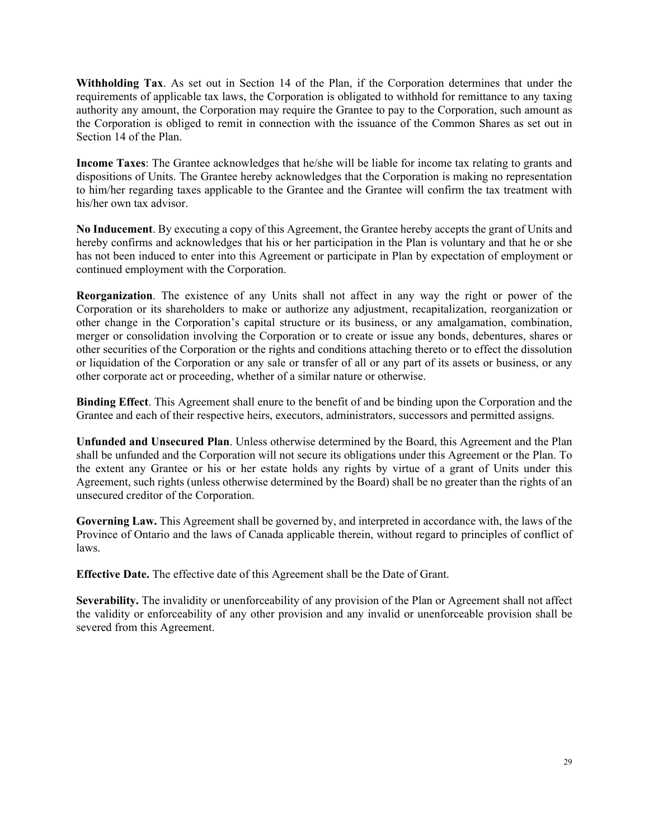**Withholding Tax**. As set out in Section 14 of the Plan, if the Corporation determines that under the requirements of applicable tax laws, the Corporation is obligated to withhold for remittance to any taxing authority any amount, the Corporation may require the Grantee to pay to the Corporation, such amount as the Corporation is obliged to remit in connection with the issuance of the Common Shares as set out in Section 14 of the Plan.

**Income Taxes**: The Grantee acknowledges that he/she will be liable for income tax relating to grants and dispositions of Units. The Grantee hereby acknowledges that the Corporation is making no representation to him/her regarding taxes applicable to the Grantee and the Grantee will confirm the tax treatment with his/her own tax advisor.

**No Inducement**. By executing a copy of this Agreement, the Grantee hereby accepts the grant of Units and hereby confirms and acknowledges that his or her participation in the Plan is voluntary and that he or she has not been induced to enter into this Agreement or participate in Plan by expectation of employment or continued employment with the Corporation.

**Reorganization**. The existence of any Units shall not affect in any way the right or power of the Corporation or its shareholders to make or authorize any adjustment, recapitalization, reorganization or other change in the Corporation's capital structure or its business, or any amalgamation, combination, merger or consolidation involving the Corporation or to create or issue any bonds, debentures, shares or other securities of the Corporation or the rights and conditions attaching thereto or to effect the dissolution or liquidation of the Corporation or any sale or transfer of all or any part of its assets or business, or any other corporate act or proceeding, whether of a similar nature or otherwise.

**Binding Effect**. This Agreement shall enure to the benefit of and be binding upon the Corporation and the Grantee and each of their respective heirs, executors, administrators, successors and permitted assigns.

**Unfunded and Unsecured Plan**. Unless otherwise determined by the Board, this Agreement and the Plan shall be unfunded and the Corporation will not secure its obligations under this Agreement or the Plan. To the extent any Grantee or his or her estate holds any rights by virtue of a grant of Units under this Agreement, such rights (unless otherwise determined by the Board) shall be no greater than the rights of an unsecured creditor of the Corporation.

**Governing Law.** This Agreement shall be governed by, and interpreted in accordance with, the laws of the Province of Ontario and the laws of Canada applicable therein, without regard to principles of conflict of laws.

**Effective Date.** The effective date of this Agreement shall be the Date of Grant.

**Severability.** The invalidity or unenforceability of any provision of the Plan or Agreement shall not affect the validity or enforceability of any other provision and any invalid or unenforceable provision shall be severed from this Agreement.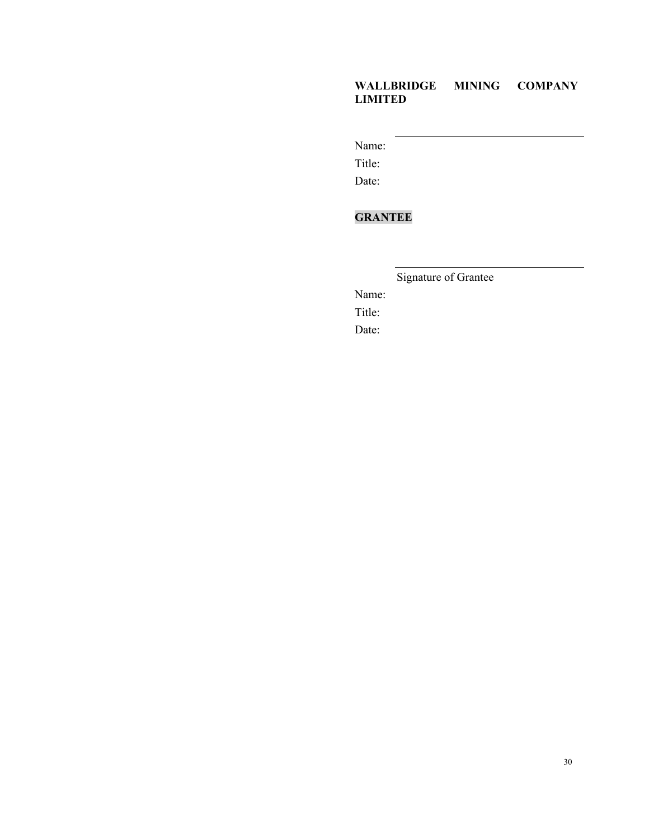## **WALLBRIDGE MINING COMPANY LIMITED**

Name:

Title:

Date:

# **GRANTEE**

Signature of Grantee

Name: Title:

Date: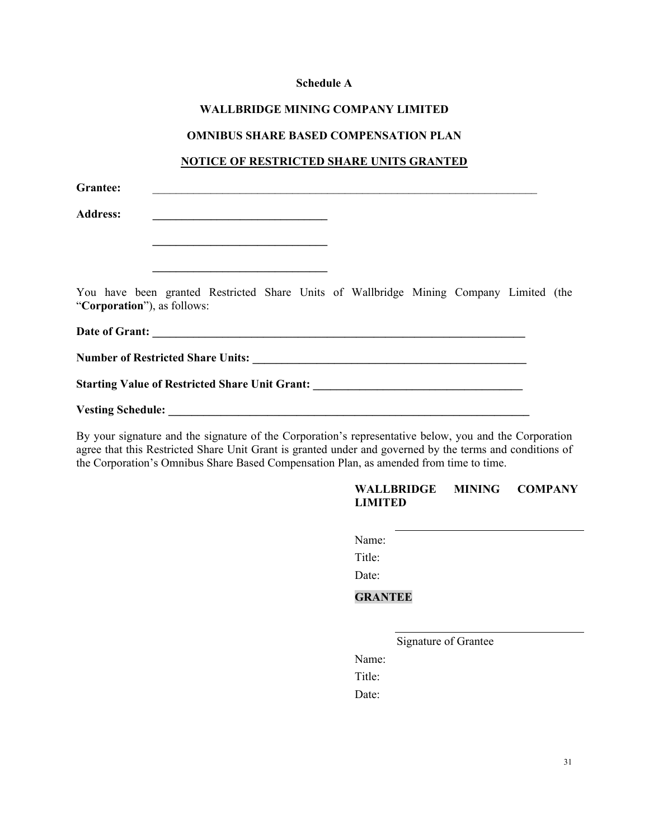### **Schedule A**

#### **WALLBRIDGE MINING COMPANY LIMITED**

#### **OMNIBUS SHARE BASED COMPENSATION PLAN**

### **NOTICE OF RESTRICTED SHARE UNITS GRANTED**

| <b>Grantee:</b>                                                                                                       |                                                   |  |  |  |  |
|-----------------------------------------------------------------------------------------------------------------------|---------------------------------------------------|--|--|--|--|
| <b>Address:</b>                                                                                                       | <u> 1980 - Johann Barbara, martxa alemaniar a</u> |  |  |  |  |
|                                                                                                                       |                                                   |  |  |  |  |
| You have been granted Restricted Share Units of Wallbridge Mining Company Limited (the<br>"Corporation"), as follows: |                                                   |  |  |  |  |
|                                                                                                                       |                                                   |  |  |  |  |
|                                                                                                                       |                                                   |  |  |  |  |
| Starting Value of Restricted Share Unit Grant: _________________________________                                      |                                                   |  |  |  |  |
| <b>Vesting Schedule:</b>                                                                                              |                                                   |  |  |  |  |

By your signature and the signature of the Corporation's representative below, you and the Corporation agree that this Restricted Share Unit Grant is granted under and governed by the terms and conditions of the Corporation's Omnibus Share Based Compensation Plan, as amended from time to time.

### **WALLBRIDGE MINING COMPANY LIMITED**

Name:

Title:

Date:

#### **GRANTEE**

Signature of Grantee

Name:

Title:

Date: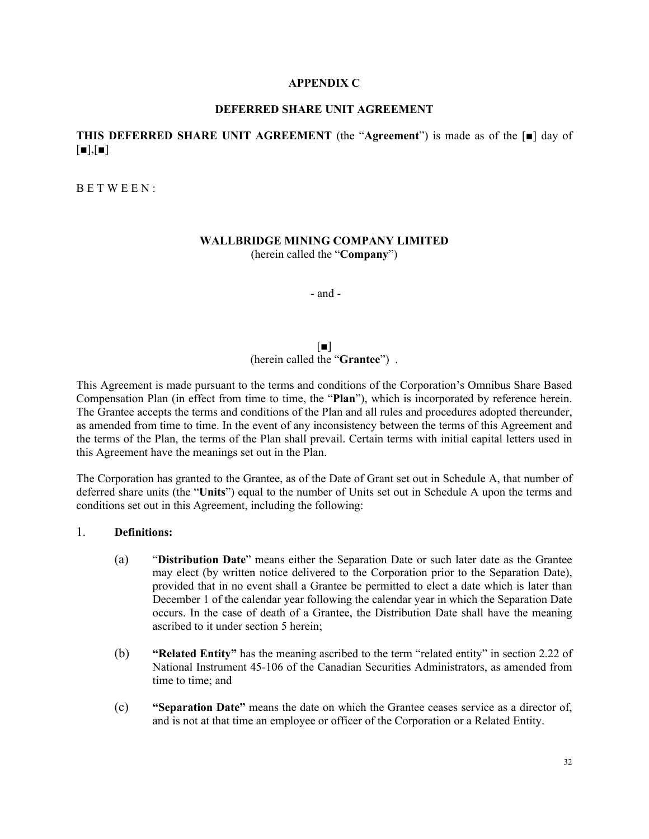### **APPENDIX C**

### **DEFERRED SHARE UNIT AGREEMENT**

**THIS DEFERRED SHARE UNIT AGREEMENT** (the "**Agreement**") is made as of the [■] day of  $[\blacksquare], [\blacksquare]$ 

B E T W E E N :

### **WALLBRIDGE MINING COMPANY LIMITED** (herein called the "**Company**")

- and -

## [■]

(herein called the "**Grantee**") .

This Agreement is made pursuant to the terms and conditions of the Corporation's Omnibus Share Based Compensation Plan (in effect from time to time, the "**Plan**"), which is incorporated by reference herein. The Grantee accepts the terms and conditions of the Plan and all rules and procedures adopted thereunder, as amended from time to time. In the event of any inconsistency between the terms of this Agreement and the terms of the Plan, the terms of the Plan shall prevail. Certain terms with initial capital letters used in this Agreement have the meanings set out in the Plan.

The Corporation has granted to the Grantee, as of the Date of Grant set out in Schedule A, that number of deferred share units (the "**Units**") equal to the number of Units set out in Schedule A upon the terms and conditions set out in this Agreement, including the following:

### 1. **Definitions:**

- (a) "**Distribution Date**" means either the Separation Date or such later date as the Grantee may elect (by written notice delivered to the Corporation prior to the Separation Date), provided that in no event shall a Grantee be permitted to elect a date which is later than December 1 of the calendar year following the calendar year in which the Separation Date occurs. In the case of death of a Grantee, the Distribution Date shall have the meaning ascribed to it under section 5 herein;
- (b) **"Related Entity"** has the meaning ascribed to the term "related entity" in section 2.22 of National Instrument 45-106 of the Canadian Securities Administrators, as amended from time to time; and
- (c) **"Separation Date"** means the date on which the Grantee ceases service as a director of, and is not at that time an employee or officer of the Corporation or a Related Entity.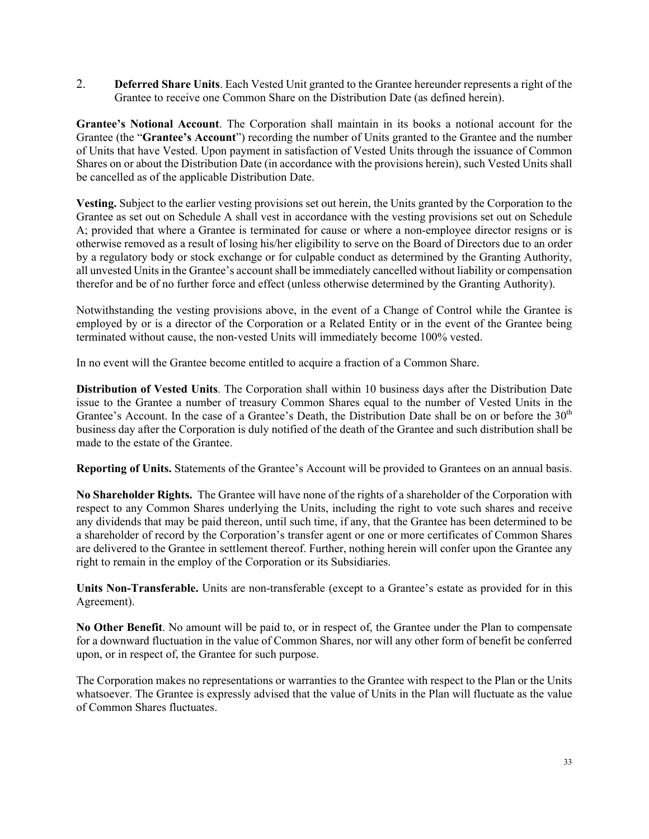2. **Deferred Share Units**. Each Vested Unit granted to the Grantee hereunder represents a right of the Grantee to receive one Common Share on the Distribution Date (as defined herein).

**Grantee's Notional Account**. The Corporation shall maintain in its books a notional account for the Grantee (the "**Grantee's Account**") recording the number of Units granted to the Grantee and the number of Units that have Vested. Upon payment in satisfaction of Vested Units through the issuance of Common Shares on or about the Distribution Date (in accordance with the provisions herein), such Vested Units shall be cancelled as of the applicable Distribution Date.

**Vesting.** Subject to the earlier vesting provisions set out herein, the Units granted by the Corporation to the Grantee as set out on Schedule A shall vest in accordance with the vesting provisions set out on Schedule A; provided that where a Grantee is terminated for cause or where a non-employee director resigns or is otherwise removed as a result of losing his/her eligibility to serve on the Board of Directors due to an order by a regulatory body or stock exchange or for culpable conduct as determined by the Granting Authority, all unvested Units in the Grantee's account shall be immediately cancelled without liability or compensation therefor and be of no further force and effect (unless otherwise determined by the Granting Authority).

Notwithstanding the vesting provisions above, in the event of a Change of Control while the Grantee is employed by or is a director of the Corporation or a Related Entity or in the event of the Grantee being terminated without cause, the non-vested Units will immediately become 100% vested.

In no event will the Grantee become entitled to acquire a fraction of a Common Share.

**Distribution of Vested Units**. The Corporation shall within 10 business days after the Distribution Date issue to the Grantee a number of treasury Common Shares equal to the number of Vested Units in the Grantee's Account. In the case of a Grantee's Death, the Distribution Date shall be on or before the 30<sup>th</sup> business day after the Corporation is duly notified of the death of the Grantee and such distribution shall be made to the estate of the Grantee.

**Reporting of Units.** Statements of the Grantee's Account will be provided to Grantees on an annual basis.

**No Shareholder Rights.** The Grantee will have none of the rights of a shareholder of the Corporation with respect to any Common Shares underlying the Units, including the right to vote such shares and receive any dividends that may be paid thereon, until such time, if any, that the Grantee has been determined to be a shareholder of record by the Corporation's transfer agent or one or more certificates of Common Shares are delivered to the Grantee in settlement thereof. Further, nothing herein will confer upon the Grantee any right to remain in the employ of the Corporation or its Subsidiaries.

**Units Non-Transferable.** Units are non-transferable (except to a Grantee's estate as provided for in this Agreement).

**No Other Benefit**. No amount will be paid to, or in respect of, the Grantee under the Plan to compensate for a downward fluctuation in the value of Common Shares, nor will any other form of benefit be conferred upon, or in respect of, the Grantee for such purpose.

The Corporation makes no representations or warranties to the Grantee with respect to the Plan or the Units whatsoever. The Grantee is expressly advised that the value of Units in the Plan will fluctuate as the value of Common Shares fluctuates.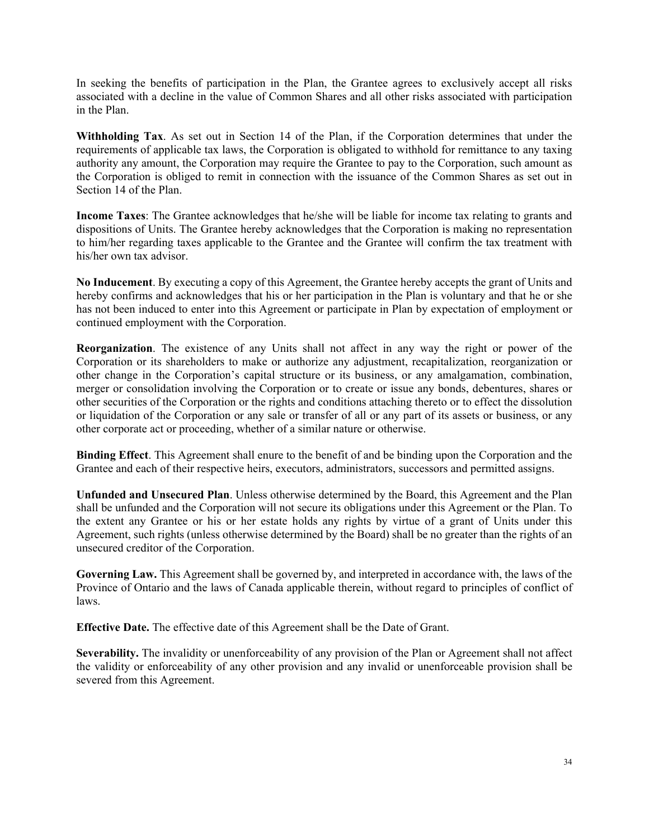In seeking the benefits of participation in the Plan, the Grantee agrees to exclusively accept all risks associated with a decline in the value of Common Shares and all other risks associated with participation in the Plan.

**Withholding Tax**. As set out in Section 14 of the Plan, if the Corporation determines that under the requirements of applicable tax laws, the Corporation is obligated to withhold for remittance to any taxing authority any amount, the Corporation may require the Grantee to pay to the Corporation, such amount as the Corporation is obliged to remit in connection with the issuance of the Common Shares as set out in Section 14 of the Plan.

**Income Taxes**: The Grantee acknowledges that he/she will be liable for income tax relating to grants and dispositions of Units. The Grantee hereby acknowledges that the Corporation is making no representation to him/her regarding taxes applicable to the Grantee and the Grantee will confirm the tax treatment with his/her own tax advisor.

**No Inducement**. By executing a copy of this Agreement, the Grantee hereby accepts the grant of Units and hereby confirms and acknowledges that his or her participation in the Plan is voluntary and that he or she has not been induced to enter into this Agreement or participate in Plan by expectation of employment or continued employment with the Corporation.

**Reorganization**. The existence of any Units shall not affect in any way the right or power of the Corporation or its shareholders to make or authorize any adjustment, recapitalization, reorganization or other change in the Corporation's capital structure or its business, or any amalgamation, combination, merger or consolidation involving the Corporation or to create or issue any bonds, debentures, shares or other securities of the Corporation or the rights and conditions attaching thereto or to effect the dissolution or liquidation of the Corporation or any sale or transfer of all or any part of its assets or business, or any other corporate act or proceeding, whether of a similar nature or otherwise.

**Binding Effect**. This Agreement shall enure to the benefit of and be binding upon the Corporation and the Grantee and each of their respective heirs, executors, administrators, successors and permitted assigns.

**Unfunded and Unsecured Plan**. Unless otherwise determined by the Board, this Agreement and the Plan shall be unfunded and the Corporation will not secure its obligations under this Agreement or the Plan. To the extent any Grantee or his or her estate holds any rights by virtue of a grant of Units under this Agreement, such rights (unless otherwise determined by the Board) shall be no greater than the rights of an unsecured creditor of the Corporation.

**Governing Law.** This Agreement shall be governed by, and interpreted in accordance with, the laws of the Province of Ontario and the laws of Canada applicable therein, without regard to principles of conflict of laws.

**Effective Date.** The effective date of this Agreement shall be the Date of Grant.

**Severability.** The invalidity or unenforceability of any provision of the Plan or Agreement shall not affect the validity or enforceability of any other provision and any invalid or unenforceable provision shall be severed from this Agreement.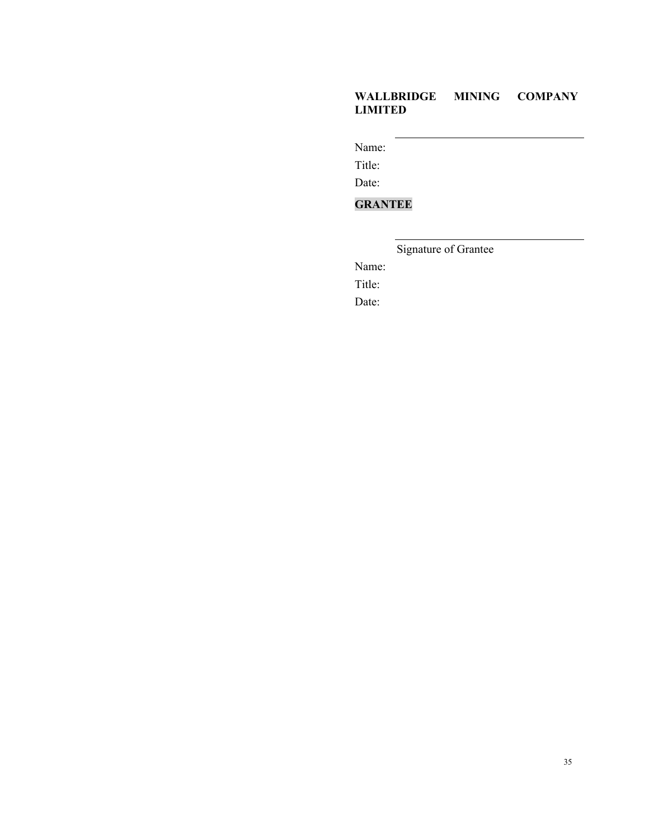## **WALLBRIDGE MINING COMPANY LIMITED**

Name:

Title:

Date:

# **GRANTEE**

|  | Signature of Grantee |
|--|----------------------|
|  |                      |

Name:

Title:

Date: